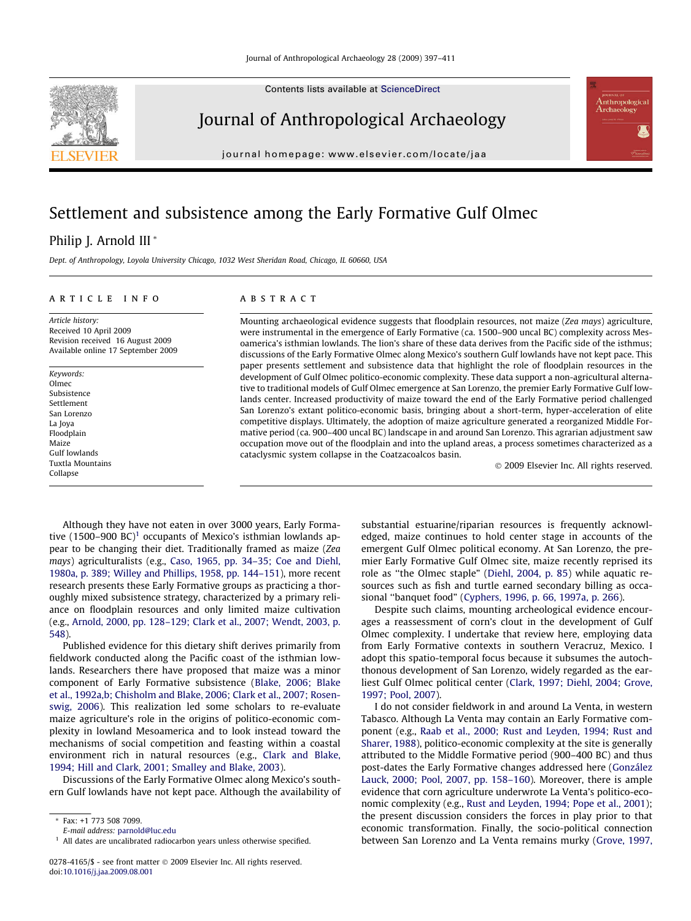Contents lists available at [ScienceDirect](http://www.sciencedirect.com/science/journal/02784165)



Anthropological Archaeology Journal of Anthropological Archaeology

journal homepage: [www.elsevier.com/locate/jaa](http://www.elsevier.com/locate/jaa)

# Settlement and subsistence among the Early Formative Gulf Olmec

# Philip J. Arnold III<sup>\*</sup>

Dept. of Anthropology, Loyola University Chicago, 1032 West Sheridan Road, Chicago, IL 60660, USA

#### article info

Article history: Received 10 April 2009 Revision received 16 August 2009 Available online 17 September 2009

Keywords: Olmec Subsistence Settlement San Lorenzo La Joya Floodplain Maize Gulf lowlands Tuxtla Mountains Collapse

# **ABSTRACT**

Mounting archaeological evidence suggests that floodplain resources, not maize (Zea mays) agriculture, were instrumental in the emergence of Early Formative (ca. 1500–900 uncal BC) complexity across Mesoamerica's isthmian lowlands. The lion's share of these data derives from the Pacific side of the isthmus; discussions of the Early Formative Olmec along Mexico's southern Gulf lowlands have not kept pace. This paper presents settlement and subsistence data that highlight the role of floodplain resources in the development of Gulf Olmec politico-economic complexity. These data support a non-agricultural alternative to traditional models of Gulf Olmec emergence at San Lorenzo, the premier Early Formative Gulf lowlands center. Increased productivity of maize toward the end of the Early Formative period challenged San Lorenzo's extant politico-economic basis, bringing about a short-term, hyper-acceleration of elite competitive displays. Ultimately, the adoption of maize agriculture generated a reorganized Middle Formative period (ca. 900–400 uncal BC) landscape in and around San Lorenzo. This agrarian adjustment saw occupation move out of the floodplain and into the upland areas, a process sometimes characterized as a cataclysmic system collapse in the Coatzacoalcos basin.

- 2009 Elsevier Inc. All rights reserved.

Although they have not eaten in over 3000 years, Early Formative  $(1500-900 \text{ BC})$ <sup>1</sup> occupants of Mexico's isthmian lowlands appear to be changing their diet. Traditionally framed as maize (Zea mays) agriculturalists (e.g., [Caso, 1965, pp. 34–35; Coe and Diehl,](#page-12-0) [1980a, p. 389; Willey and Phillips, 1958, pp. 144–151](#page-12-0)), more recent research presents these Early Formative groups as practicing a thoroughly mixed subsistence strategy, characterized by a primary reliance on floodplain resources and only limited maize cultivation (e.g., [Arnold, 2000, pp. 128–129; Clark et al., 2007; Wendt, 2003, p.](#page-12-0) [548](#page-12-0)).

Published evidence for this dietary shift derives primarily from fieldwork conducted along the Pacific coast of the isthmian lowlands. Researchers there have proposed that maize was a minor component of Early Formative subsistence ([Blake, 2006; Blake](#page-12-0) [et al., 1992a,b; Chisholm and Blake, 2006; Clark et al., 2007; Rosen](#page-12-0)[swig, 2006\)](#page-12-0). This realization led some scholars to re-evaluate maize agriculture's role in the origins of politico-economic complexity in lowland Mesoamerica and to look instead toward the mechanisms of social competition and feasting within a coastal environment rich in natural resources (e.g., [Clark and Blake,](#page-12-0) [1994; Hill and Clark, 2001; Smalley and Blake, 2003](#page-12-0)).

Discussions of the Early Formative Olmec along Mexico's southern Gulf lowlands have not kept pace. Although the availability of substantial estuarine/riparian resources is frequently acknowledged, maize continues to hold center stage in accounts of the emergent Gulf Olmec political economy. At San Lorenzo, the premier Early Formative Gulf Olmec site, maize recently reprised its role as ''the Olmec staple" [\(Diehl, 2004, p. 85\)](#page-13-0) while aquatic resources such as fish and turtle earned secondary billing as occasional ''banquet food" [\(Cyphers, 1996, p. 66, 1997a, p. 266\)](#page-12-0).

Despite such claims, mounting archeological evidence encourages a reassessment of corn's clout in the development of Gulf Olmec complexity. I undertake that review here, employing data from Early Formative contexts in southern Veracruz, Mexico. I adopt this spatio-temporal focus because it subsumes the autochthonous development of San Lorenzo, widely regarded as the earliest Gulf Olmec political center ([Clark, 1997; Diehl, 2004; Grove,](#page-12-0) [1997; Pool, 2007\)](#page-12-0).

I do not consider fieldwork in and around La Venta, in western Tabasco. Although La Venta may contain an Early Formative component (e.g., [Raab et al., 2000; Rust and Leyden, 1994; Rust and](#page-13-0) [Sharer, 1988\)](#page-13-0), politico-economic complexity at the site is generally attributed to the Middle Formative period (900–400 BC) and thus post-dates the Early Formative changes addressed here [\(González](#page-13-0) [Lauck, 2000; Pool, 2007, pp. 158–160\)](#page-13-0). Moreover, there is ample evidence that corn agriculture underwrote La Venta's politico-economic complexity (e.g., [Rust and Leyden, 1994; Pope et al., 2001\)](#page-13-0); the present discussion considers the forces in play prior to that economic transformation. Finally, the socio-political connection between San Lorenzo and La Venta remains murky [\(Grove, 1997,](#page-13-0)

Fax: +1 773 508 7099.

E-mail address: [parnold@luc.edu](mailto:parnold@luc.edu)

 $1$  All dates are uncalibrated radiocarbon years unless otherwise specified.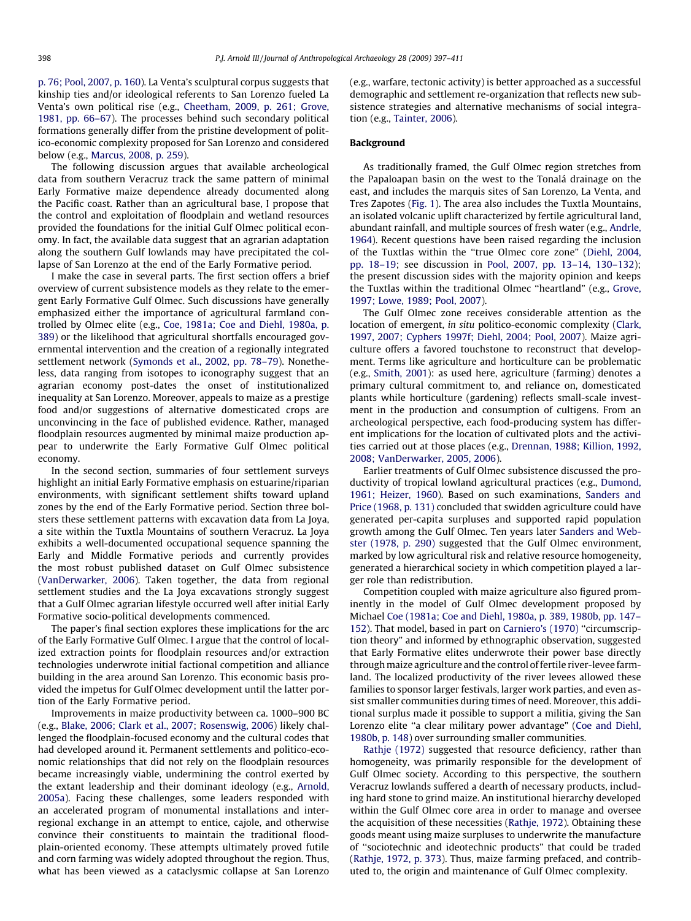[p. 76; Pool, 2007, p. 160](#page-13-0)). La Venta's sculptural corpus suggests that kinship ties and/or ideological referents to San Lorenzo fueled La Venta's own political rise (e.g., [Cheetham, 2009, p. 261; Grove,](#page-12-0) [1981, pp. 66–67\)](#page-12-0). The processes behind such secondary political formations generally differ from the pristine development of politico-economic complexity proposed for San Lorenzo and considered below (e.g., [Marcus, 2008, p. 259](#page-13-0)).

The following discussion argues that available archeological data from southern Veracruz track the same pattern of minimal Early Formative maize dependence already documented along the Pacific coast. Rather than an agricultural base, I propose that the control and exploitation of floodplain and wetland resources provided the foundations for the initial Gulf Olmec political economy. In fact, the available data suggest that an agrarian adaptation along the southern Gulf lowlands may have precipitated the collapse of San Lorenzo at the end of the Early Formative period.

I make the case in several parts. The first section offers a brief overview of current subsistence models as they relate to the emergent Early Formative Gulf Olmec. Such discussions have generally emphasized either the importance of agricultural farmland controlled by Olmec elite (e.g., [Coe, 1981a; Coe and Diehl, 1980a, p.](#page-12-0) [389\)](#page-12-0) or the likelihood that agricultural shortfalls encouraged governmental intervention and the creation of a regionally integrated settlement network ([Symonds et al., 2002, pp. 78–79](#page-14-0)). Nonetheless, data ranging from isotopes to iconography suggest that an agrarian economy post-dates the onset of institutionalized inequality at San Lorenzo. Moreover, appeals to maize as a prestige food and/or suggestions of alternative domesticated crops are unconvincing in the face of published evidence. Rather, managed floodplain resources augmented by minimal maize production appear to underwrite the Early Formative Gulf Olmec political economy.

In the second section, summaries of four settlement surveys highlight an initial Early Formative emphasis on estuarine/riparian environments, with significant settlement shifts toward upland zones by the end of the Early Formative period. Section three bolsters these settlement patterns with excavation data from La Joya, a site within the Tuxtla Mountains of southern Veracruz. La Joya exhibits a well-documented occupational sequence spanning the Early and Middle Formative periods and currently provides the most robust published dataset on Gulf Olmec subsistence ([VanDerwarker, 2006](#page-14-0)). Taken together, the data from regional settlement studies and the La Joya excavations strongly suggest that a Gulf Olmec agrarian lifestyle occurred well after initial Early Formative socio-political developments commenced.

The paper's final section explores these implications for the arc of the Early Formative Gulf Olmec. I argue that the control of localized extraction points for floodplain resources and/or extraction technologies underwrote initial factional competition and alliance building in the area around San Lorenzo. This economic basis provided the impetus for Gulf Olmec development until the latter portion of the Early Formative period.

Improvements in maize productivity between ca. 1000–900 BC (e.g., [Blake, 2006; Clark et al., 2007; Rosenswig, 2006\)](#page-12-0) likely challenged the floodplain-focused economy and the cultural codes that had developed around it. Permanent settlements and politico-economic relationships that did not rely on the floodplain resources became increasingly viable, undermining the control exerted by the extant leadership and their dominant ideology (e.g., [Arnold,](#page-12-0) [2005a\)](#page-12-0). Facing these challenges, some leaders responded with an accelerated program of monumental installations and interregional exchange in an attempt to entice, cajole, and otherwise convince their constituents to maintain the traditional floodplain-oriented economy. These attempts ultimately proved futile and corn farming was widely adopted throughout the region. Thus, what has been viewed as a cataclysmic collapse at San Lorenzo (e.g., warfare, tectonic activity) is better approached as a successful demographic and settlement re-organization that reflects new subsistence strategies and alternative mechanisms of social integration (e.g., [Tainter, 2006\)](#page-14-0).

# Background

As traditionally framed, the Gulf Olmec region stretches from the Papaloapan basin on the west to the Tonalá drainage on the east, and includes the marquis sites of San Lorenzo, La Venta, and Tres Zapotes ([Fig. 1](#page-2-0)). The area also includes the Tuxtla Mountains, an isolated volcanic uplift characterized by fertile agricultural land, abundant rainfall, and multiple sources of fresh water (e.g., [Andrle,](#page-12-0) [1964\)](#page-12-0). Recent questions have been raised regarding the inclusion of the Tuxtlas within the ''true Olmec core zone" [\(Diehl, 2004,](#page-13-0) [pp. 18–19](#page-13-0); see discussion in [Pool, 2007, pp. 13–14, 130–132\)](#page-13-0); the present discussion sides with the majority opinion and keeps the Tuxtlas within the traditional Olmec ''heartland" (e.g., [Grove,](#page-13-0) [1997; Lowe, 1989; Pool, 2007](#page-13-0)).

The Gulf Olmec zone receives considerable attention as the location of emergent, in situ politico-economic complexity [\(Clark,](#page-12-0) [1997, 2007; Cyphers 1997f; Diehl, 2004; Pool, 2007](#page-12-0)). Maize agriculture offers a favored touchstone to reconstruct that development. Terms like agriculture and horticulture can be problematic (e.g., [Smith, 2001\)](#page-14-0): as used here, agriculture (farming) denotes a primary cultural commitment to, and reliance on, domesticated plants while horticulture (gardening) reflects small-scale investment in the production and consumption of cultigens. From an archeological perspective, each food-producing system has different implications for the location of cultivated plots and the activities carried out at those places (e.g., [Drennan, 1988; Killion, 1992,](#page-13-0) [2008; VanDerwarker, 2005, 2006\)](#page-13-0).

Earlier treatments of Gulf Olmec subsistence discussed the productivity of tropical lowland agricultural practices (e.g., [Dumond,](#page-13-0) [1961; Heizer, 1960](#page-13-0)). Based on such examinations, [Sanders and](#page-13-0) [Price \(1968, p. 131\)](#page-13-0) concluded that swidden agriculture could have generated per-capita surpluses and supported rapid population growth among the Gulf Olmec. Ten years later [Sanders and Web](#page-13-0)[ster \(1978, p. 290\)](#page-13-0) suggested that the Gulf Olmec environment, marked by low agricultural risk and relative resource homogeneity, generated a hierarchical society in which competition played a larger role than redistribution.

Competition coupled with maize agriculture also figured prominently in the model of Gulf Olmec development proposed by Michael [Coe \(1981a; Coe and Diehl, 1980a, p. 389, 1980b, pp. 147–](#page-12-0) [152](#page-12-0)). That model, based in part on [Carniero's \(1970\)](#page-12-0) ''circumscription theory" and informed by ethnographic observation, suggested that Early Formative elites underwrote their power base directly through maize agriculture and the control of fertile river-levee farmland. The localized productivity of the river levees allowed these families to sponsor larger festivals, larger work parties, and even assist smaller communities during times of need. Moreover, this additional surplus made it possible to support a militia, giving the San Lorenzo elite ''a clear military power advantage" ([Coe and Diehl,](#page-12-0) [1980b, p. 148](#page-12-0)) over surrounding smaller communities.

[Rathje \(1972\)](#page-13-0) suggested that resource deficiency, rather than homogeneity, was primarily responsible for the development of Gulf Olmec society. According to this perspective, the southern Veracruz lowlands suffered a dearth of necessary products, including hard stone to grind maize. An institutional hierarchy developed within the Gulf Olmec core area in order to manage and oversee the acquisition of these necessities [\(Rathje, 1972\)](#page-13-0). Obtaining these goods meant using maize surpluses to underwrite the manufacture of ''sociotechnic and ideotechnic products" that could be traded ([Rathje, 1972, p. 373\)](#page-13-0). Thus, maize farming prefaced, and contributed to, the origin and maintenance of Gulf Olmec complexity.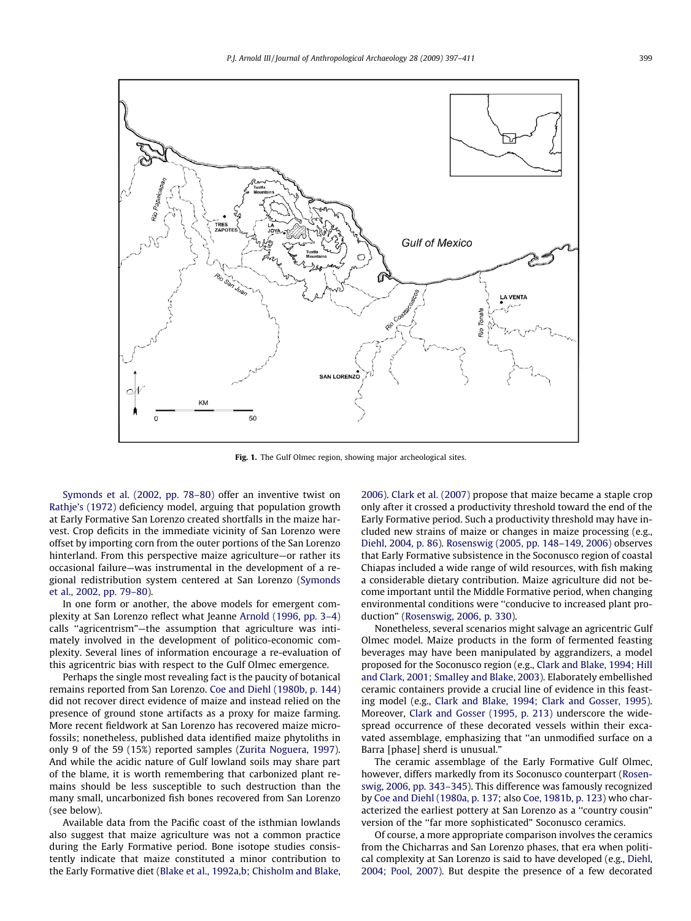<span id="page-2-0"></span>

Fig. 1. The Gulf Olmec region, showing major archeological sites.

[Symonds et al. \(2002, pp. 78–80\)](#page-14-0) offer an inventive twist on [Rathje's \(1972\)](#page-13-0) deficiency model, arguing that population growth at Early Formative San Lorenzo created shortfalls in the maize harvest. Crop deficits in the immediate vicinity of San Lorenzo were offset by importing corn from the outer portions of the San Lorenzo hinterland. From this perspective maize agriculture—or rather its occasional failure—was instrumental in the development of a regional redistribution system centered at San Lorenzo [\(Symonds](#page-14-0) [et al., 2002, pp. 79–80](#page-14-0)).

In one form or another, the above models for emergent complexity at San Lorenzo reflect what Jeanne [Arnold \(1996, pp. 3–4\)](#page-12-0) calls ''agricentrism"—the assumption that agriculture was intimately involved in the development of politico-economic complexity. Several lines of information encourage a re-evaluation of this agricentric bias with respect to the Gulf Olmec emergence.

Perhaps the single most revealing fact is the paucity of botanical remains reported from San Lorenzo. [Coe and Diehl \(1980b, p. 144\)](#page-12-0) did not recover direct evidence of maize and instead relied on the presence of ground stone artifacts as a proxy for maize farming. More recent fieldwork at San Lorenzo has recovered maize microfossils; nonetheless, published data identified maize phytoliths in only 9 of the 59 (15%) reported samples ([Zurita Noguera, 1997\)](#page-14-0). And while the acidic nature of Gulf lowland soils may share part of the blame, it is worth remembering that carbonized plant remains should be less susceptible to such destruction than the many small, uncarbonized fish bones recovered from San Lorenzo (see below).

Available data from the Pacific coast of the isthmian lowlands also suggest that maize agriculture was not a common practice during the Early Formative period. Bone isotope studies consistently indicate that maize constituted a minor contribution to the Early Formative diet [\(Blake et al., 1992a,b; Chisholm and Blake,](#page-12-0) [2006](#page-12-0)). [Clark et al. \(2007\)](#page-12-0) propose that maize became a staple crop only after it crossed a productivity threshold toward the end of the Early Formative period. Such a productivity threshold may have included new strains of maize or changes in maize processing (e.g., [Diehl, 2004, p. 86\)](#page-13-0). [Rosenswig \(2005, pp. 148–149, 2006\)](#page-13-0) observes that Early Formative subsistence in the Soconusco region of coastal Chiapas included a wide range of wild resources, with fish making a considerable dietary contribution. Maize agriculture did not become important until the Middle Formative period, when changing environmental conditions were ''conducive to increased plant production" [\(Rosenswig, 2006, p. 330](#page-13-0)).

Nonetheless, several scenarios might salvage an agricentric Gulf Olmec model. Maize products in the form of fermented feasting beverages may have been manipulated by aggrandizers, a model proposed for the Soconusco region (e.g., [Clark and Blake, 1994; Hill](#page-12-0) [and Clark, 2001; Smalley and Blake, 2003](#page-12-0)). Elaborately embellished ceramic containers provide a crucial line of evidence in this feasting model (e.g., [Clark and Blake, 1994; Clark and Gosser, 1995\)](#page-12-0). Moreover, [Clark and Gosser \(1995, p. 213\)](#page-12-0) underscore the widespread occurrence of these decorated vessels within their excavated assemblage, emphasizing that ''an unmodified surface on a Barra [phase] sherd is unusual."

The ceramic assemblage of the Early Formative Gulf Olmec, however, differs markedly from its Soconusco counterpart ([Rosen](#page-13-0)[swig, 2006, pp. 343–345](#page-13-0)). This difference was famously recognized by [Coe and Diehl \(1980a, p. 137;](#page-12-0) also [Coe, 1981b, p. 123](#page-12-0)) who characterized the earliest pottery at San Lorenzo as a ''country cousin" version of the ''far more sophisticated" Soconusco ceramics.

Of course, a more appropriate comparison involves the ceramics from the Chicharras and San Lorenzo phases, that era when political complexity at San Lorenzo is said to have developed (e.g., [Diehl,](#page-13-0) [2004; Pool, 2007\)](#page-13-0). But despite the presence of a few decorated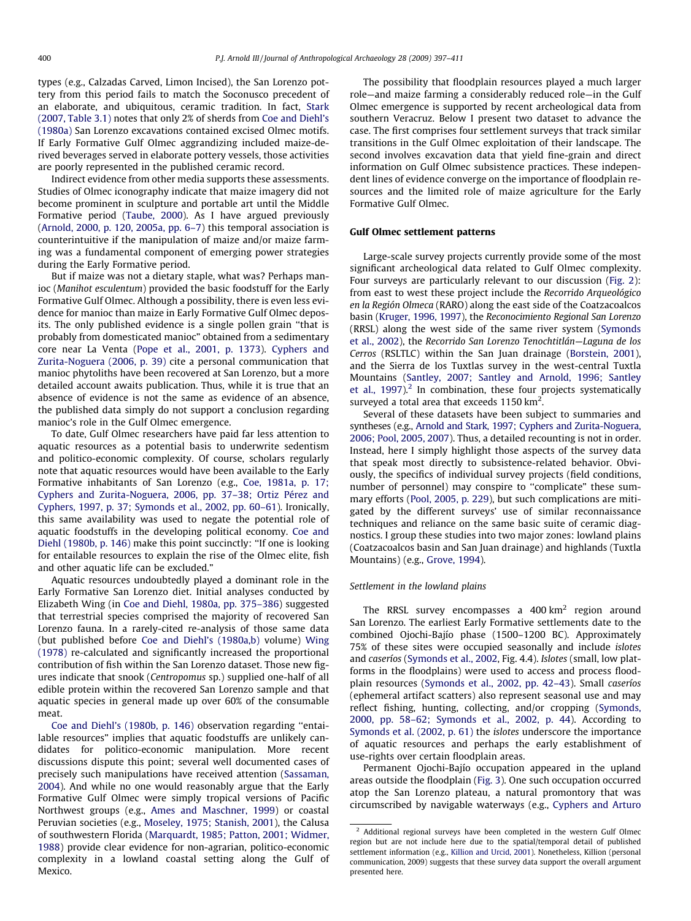types (e.g., Calzadas Carved, Limon Incised), the San Lorenzo pottery from this period fails to match the Soconusco precedent of an elaborate, and ubiquitous, ceramic tradition. In fact, [Stark](#page-14-0) [\(2007, Table 3.1\)](#page-14-0) notes that only 2% of sherds from [Coe and Diehl's](#page-12-0) [\(1980a\)](#page-12-0) San Lorenzo excavations contained excised Olmec motifs. If Early Formative Gulf Olmec aggrandizing included maize-derived beverages served in elaborate pottery vessels, those activities are poorly represented in the published ceramic record.

Indirect evidence from other media supports these assessments. Studies of Olmec iconography indicate that maize imagery did not become prominent in sculpture and portable art until the Middle Formative period ([Taube, 2000](#page-14-0)). As I have argued previously ([Arnold, 2000, p. 120, 2005a, pp. 6–7\)](#page-12-0) this temporal association is counterintuitive if the manipulation of maize and/or maize farming was a fundamental component of emerging power strategies during the Early Formative period.

But if maize was not a dietary staple, what was? Perhaps manioc (Manihot esculentum) provided the basic foodstuff for the Early Formative Gulf Olmec. Although a possibility, there is even less evidence for manioc than maize in Early Formative Gulf Olmec deposits. The only published evidence is a single pollen grain ''that is probably from domesticated manioc" obtained from a sedimentary core near La Venta [\(Pope et al., 2001, p. 1373\)](#page-13-0). [Cyphers and](#page-12-0) [Zurita-Noguera \(2006, p. 39\)](#page-12-0) cite a personal communication that manioc phytoliths have been recovered at San Lorenzo, but a more detailed account awaits publication. Thus, while it is true that an absence of evidence is not the same as evidence of an absence, the published data simply do not support a conclusion regarding manioc's role in the Gulf Olmec emergence.

To date, Gulf Olmec researchers have paid far less attention to aquatic resources as a potential basis to underwrite sedentism and politico-economic complexity. Of course, scholars regularly note that aquatic resources would have been available to the Early Formative inhabitants of San Lorenzo (e.g., [Coe, 1981a, p. 17;](#page-12-0) [Cyphers and Zurita-Noguera, 2006, pp. 37–38; Ortiz Pérez and](#page-12-0) [Cyphers, 1997, p. 37; Symonds et al., 2002, pp. 60–61\)](#page-12-0). Ironically, this same availability was used to negate the potential role of aquatic foodstuffs in the developing political economy. [Coe and](#page-12-0) [Diehl \(1980b, p. 146\)](#page-12-0) make this point succinctly: ''If one is looking for entailable resources to explain the rise of the Olmec elite, fish and other aquatic life can be excluded."

Aquatic resources undoubtedly played a dominant role in the Early Formative San Lorenzo diet. Initial analyses conducted by Elizabeth Wing (in [Coe and Diehl, 1980a, pp. 375–386](#page-12-0)) suggested that terrestrial species comprised the majority of recovered San Lorenzo fauna. In a rarely-cited re-analysis of those same data (but published before [Coe and Diehl's \(1980a,b\)](#page-12-0) volume) [Wing](#page-14-0) [\(1978\)](#page-14-0) re-calculated and significantly increased the proportional contribution of fish within the San Lorenzo dataset. Those new figures indicate that snook (Centropomus sp.) supplied one-half of all edible protein within the recovered San Lorenzo sample and that aquatic species in general made up over 60% of the consumable meat.

[Coe and Diehl's \(1980b, p. 146\)](#page-12-0) observation regarding ''entailable resources" implies that aquatic foodstuffs are unlikely candidates for politico-economic manipulation. More recent discussions dispute this point; several well documented cases of precisely such manipulations have received attention [\(Sassaman,](#page-14-0) [2004\)](#page-14-0). And while no one would reasonably argue that the Early Formative Gulf Olmec were simply tropical versions of Pacific Northwest groups (e.g., [Ames and Maschner, 1999](#page-12-0)) or coastal Peruvian societies (e.g., [Moseley, 1975; Stanish, 2001](#page-13-0)), the Calusa of southwestern Florida [\(Marquardt, 1985; Patton, 2001; Widmer,](#page-13-0) [1988\)](#page-13-0) provide clear evidence for non-agrarian, politico-economic complexity in a lowland coastal setting along the Gulf of Mexico.

The possibility that floodplain resources played a much larger role—and maize farming a considerably reduced role—in the Gulf Olmec emergence is supported by recent archeological data from southern Veracruz. Below I present two dataset to advance the case. The first comprises four settlement surveys that track similar transitions in the Gulf Olmec exploitation of their landscape. The second involves excavation data that yield fine-grain and direct information on Gulf Olmec subsistence practices. These independent lines of evidence converge on the importance of floodplain resources and the limited role of maize agriculture for the Early Formative Gulf Olmec.

#### Gulf Olmec settlement patterns

Large-scale survey projects currently provide some of the most significant archeological data related to Gulf Olmec complexity. Four surveys are particularly relevant to our discussion [\(Fig. 2\)](#page-4-0): from east to west these project include the Recorrido Arqueológico en la Región Olmeca (RARO) along the east side of the Coatzacoalcos basin ([Kruger, 1996, 1997\)](#page-13-0), the Reconocimiento Regional San Lorenzo (RRSL) along the west side of the same river system [\(Symonds](#page-14-0) [et al., 2002](#page-14-0)), the Recorrido San Lorenzo Tenochtitlán—Laguna de los Cerros (RSLTLC) within the San Juan drainage [\(Borstein, 2001\)](#page-12-0), and the Sierra de los Tuxtlas survey in the west-central Tuxtla Mountains ([Santley, 2007; Santley and Arnold, 1996; Santley](#page-14-0) et al.,  $1997$ ).<sup>2</sup> In combination, these four projects systematically surveyed a total area that exceeds  $1150 \mathrm{~km^2}$ .

Several of these datasets have been subject to summaries and syntheses (e.g., [Arnold and Stark, 1997; Cyphers and Zurita-Noguera,](#page-12-0) [2006; Pool, 2005, 2007](#page-12-0)). Thus, a detailed recounting is not in order. Instead, here I simply highlight those aspects of the survey data that speak most directly to subsistence-related behavior. Obviously, the specifics of individual survey projects (field conditions, number of personnel) may conspire to ''complicate" these summary efforts ([Pool, 2005, p. 229\)](#page-13-0), but such complications are mitigated by the different surveys' use of similar reconnaissance techniques and reliance on the same basic suite of ceramic diagnostics. I group these studies into two major zones: lowland plains (Coatzacoalcos basin and San Juan drainage) and highlands (Tuxtla Mountains) (e.g., [Grove, 1994\)](#page-13-0).

## Settlement in the lowland plains

The RRSL survey encompasses a  $400 \text{ km}^2$  region around San Lorenzo. The earliest Early Formative settlements date to the combined Ojochi-Bajío phase (1500–1200 BC). Approximately 75% of these sites were occupied seasonally and include islotes and caseríos [\(Symonds et al., 2002,](#page-14-0) Fig. 4.4). Islotes (small, low platforms in the floodplains) were used to access and process floodplain resources [\(Symonds et al., 2002, pp. 42–43\)](#page-14-0). Small caseríos (ephemeral artifact scatters) also represent seasonal use and may reflect fishing, hunting, collecting, and/or cropping ([Symonds,](#page-14-0) [2000, pp. 58–62; Symonds et al., 2002, p. 44\)](#page-14-0). According to [Symonds et al. \(2002, p. 61\)](#page-14-0) the islotes underscore the importance of aquatic resources and perhaps the early establishment of use-rights over certain floodplain areas.

Permanent Ojochi-Bajío occupation appeared in the upland areas outside the floodplain ([Fig. 3\)](#page-4-0). One such occupation occurred atop the San Lorenzo plateau, a natural promontory that was circumscribed by navigable waterways (e.g., [Cyphers and Arturo](#page-12-0)

 $2$  Additional regional surveys have been completed in the western Gulf Olmec region but are not include here due to the spatial/temporal detail of published settlement information (e.g., [Killion and Urcid, 2001\)](#page-13-0). Nonetheless, Killion (personal communication, 2009) suggests that these survey data support the overall argument presented here.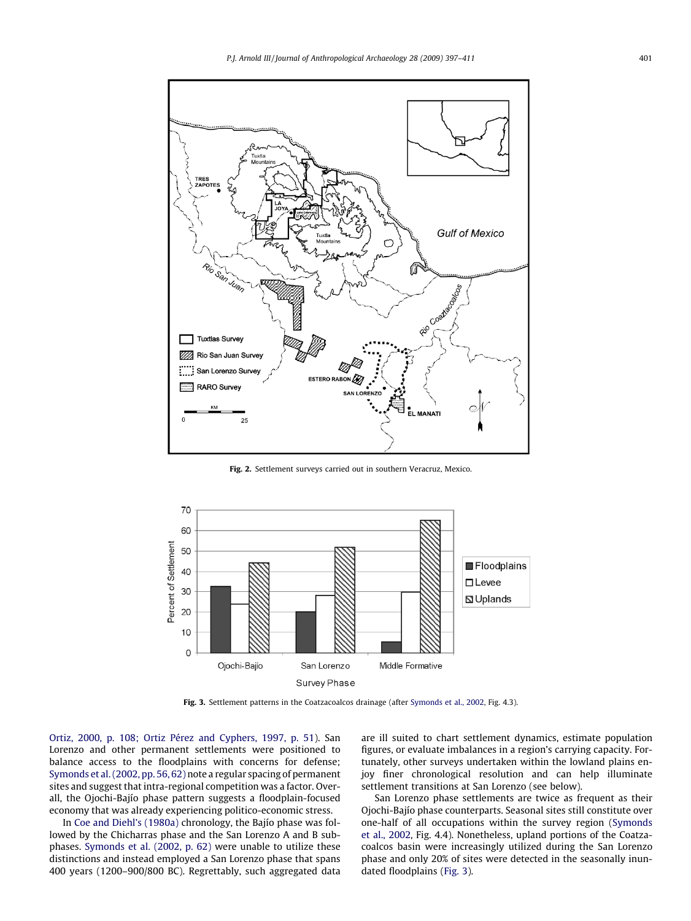<span id="page-4-0"></span>

Fig. 2. Settlement surveys carried out in southern Veracruz, Mexico.



Fig. 3. Settlement patterns in the Coatzacoalcos drainage (after [Symonds et al., 2002](#page-14-0), Fig. 4.3).

[Ortiz, 2000, p. 108; Ortiz Pérez and Cyphers, 1997, p. 51](#page-12-0)). San Lorenzo and other permanent settlements were positioned to balance access to the floodplains with concerns for defense; [Symonds et al. \(2002, pp. 56, 62\)](#page-14-0) note a regular spacing of permanent sites and suggest that intra-regional competition was a factor. Overall, the Ojochi-Bajío phase pattern suggests a floodplain-focused economy that was already experiencing politico-economic stress.

In [Coe and Diehl's \(1980a\)](#page-12-0) chronology, the Bajío phase was followed by the Chicharras phase and the San Lorenzo A and B subphases. [Symonds et al. \(2002, p. 62\)](#page-14-0) were unable to utilize these distinctions and instead employed a San Lorenzo phase that spans 400 years (1200–900/800 BC). Regrettably, such aggregated data

are ill suited to chart settlement dynamics, estimate population figures, or evaluate imbalances in a region's carrying capacity. Fortunately, other surveys undertaken within the lowland plains enjoy finer chronological resolution and can help illuminate settlement transitions at San Lorenzo (see below).

San Lorenzo phase settlements are twice as frequent as their Ojochi-Bajío phase counterparts. Seasonal sites still constitute over one-half of all occupations within the survey region [\(Symonds](#page-14-0) [et al., 2002](#page-14-0), Fig. 4.4). Nonetheless, upland portions of the Coatzacoalcos basin were increasingly utilized during the San Lorenzo phase and only 20% of sites were detected in the seasonally inundated floodplains (Fig. 3).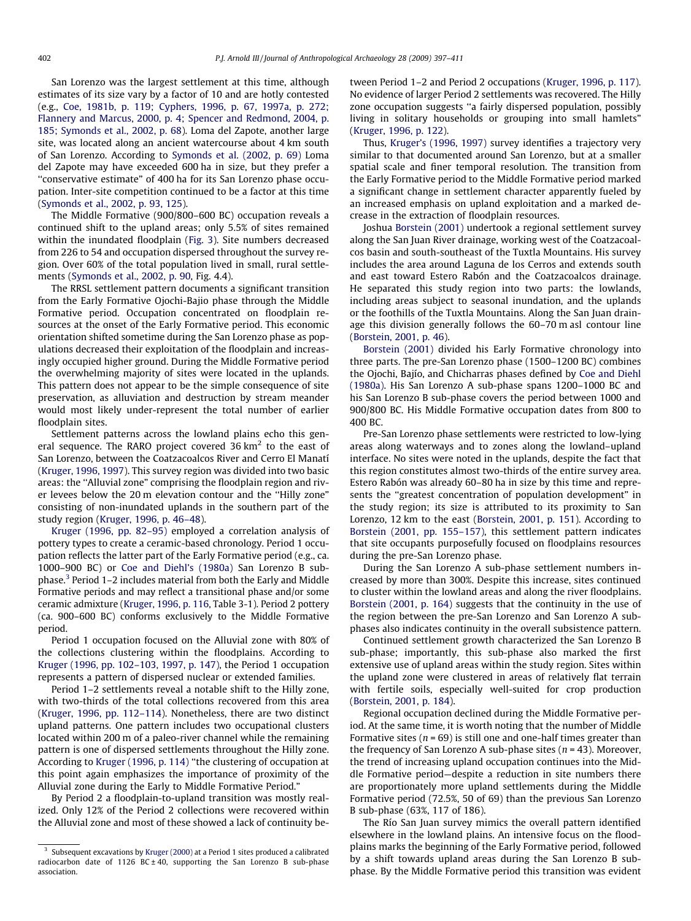San Lorenzo was the largest settlement at this time, although estimates of its size vary by a factor of 10 and are hotly contested (e.g., [Coe, 1981b, p. 119; Cyphers, 1996, p. 67, 1997a, p. 272;](#page-12-0) [Flannery and Marcus, 2000, p. 4; Spencer and Redmond, 2004, p.](#page-12-0) [185; Symonds et al., 2002, p. 68\)](#page-12-0). Loma del Zapote, another large site, was located along an ancient watercourse about 4 km south of San Lorenzo. According to [Symonds et al. \(2002, p. 69\)](#page-14-0) Loma del Zapote may have exceeded 600 ha in size, but they prefer a ''conservative estimate" of 400 ha for its San Lorenzo phase occupation. Inter-site competition continued to be a factor at this time ([Symonds et al., 2002, p. 93, 125](#page-14-0)).

The Middle Formative (900/800–600 BC) occupation reveals a continued shift to the upland areas; only 5.5% of sites remained within the inundated floodplain ([Fig. 3\)](#page-4-0). Site numbers decreased from 226 to 54 and occupation dispersed throughout the survey region. Over 60% of the total population lived in small, rural settlements ([Symonds et al., 2002, p. 90](#page-14-0), Fig. 4.4).

The RRSL settlement pattern documents a significant transition from the Early Formative Ojochi-Bajio phase through the Middle Formative period. Occupation concentrated on floodplain resources at the onset of the Early Formative period. This economic orientation shifted sometime during the San Lorenzo phase as populations decreased their exploitation of the floodplain and increasingly occupied higher ground. During the Middle Formative period the overwhelming majority of sites were located in the uplands. This pattern does not appear to be the simple consequence of site preservation, as alluviation and destruction by stream meander would most likely under-represent the total number of earlier floodplain sites.

Settlement patterns across the lowland plains echo this general sequence. The RARO project covered  $36 \text{ km}^2$  to the east of San Lorenzo, between the Coatzacoalcos River and Cerro El Manatí ([Kruger, 1996, 1997\)](#page-13-0). This survey region was divided into two basic areas: the "Alluvial zone" comprising the floodplain region and river levees below the 20 m elevation contour and the ''Hilly zone" consisting of non-inundated uplands in the southern part of the study region [\(Kruger, 1996, p. 46–48](#page-13-0)).

[Kruger \(1996, pp. 82–95\)](#page-13-0) employed a correlation analysis of pottery types to create a ceramic-based chronology. Period 1 occupation reflects the latter part of the Early Formative period (e.g., ca. 1000–900 BC) or [Coe and Diehl's \(1980a\)](#page-12-0) San Lorenzo B subphase.<sup>3</sup> Period 1–2 includes material from both the Early and Middle Formative periods and may reflect a transitional phase and/or some ceramic admixture ([Kruger, 1996, p. 116](#page-13-0), Table 3-1). Period 2 pottery (ca. 900–600 BC) conforms exclusively to the Middle Formative period.

Period 1 occupation focused on the Alluvial zone with 80% of the collections clustering within the floodplains. According to [Kruger \(1996, pp. 102–103, 1997, p. 147\)](#page-13-0), the Period 1 occupation represents a pattern of dispersed nuclear or extended families.

Period 1–2 settlements reveal a notable shift to the Hilly zone, with two-thirds of the total collections recovered from this area ([Kruger, 1996, pp. 112–114](#page-13-0)). Nonetheless, there are two distinct upland patterns. One pattern includes two occupational clusters located within 200 m of a paleo-river channel while the remaining pattern is one of dispersed settlements throughout the Hilly zone. According to [Kruger \(1996, p. 114\)](#page-13-0) ''the clustering of occupation at this point again emphasizes the importance of proximity of the Alluvial zone during the Early to Middle Formative Period."

By Period 2 a floodplain-to-upland transition was mostly realized. Only 12% of the Period 2 collections were recovered within the Alluvial zone and most of these showed a lack of continuity between Period 1–2 and Period 2 occupations [\(Kruger, 1996, p. 117\)](#page-13-0). No evidence of larger Period 2 settlements was recovered. The Hilly zone occupation suggests ''a fairly dispersed population, possibly living in solitary households or grouping into small hamlets" ([Kruger, 1996, p. 122](#page-13-0)).

Thus, [Kruger's \(1996, 1997\)](#page-13-0) survey identifies a trajectory very similar to that documented around San Lorenzo, but at a smaller spatial scale and finer temporal resolution. The transition from the Early Formative period to the Middle Formative period marked a significant change in settlement character apparently fueled by an increased emphasis on upland exploitation and a marked decrease in the extraction of floodplain resources.

Joshua [Borstein \(2001\)](#page-12-0) undertook a regional settlement survey along the San Juan River drainage, working west of the Coatzacoalcos basin and south-southeast of the Tuxtla Mountains. His survey includes the area around Laguna de los Cerros and extends south and east toward Estero Rabón and the Coatzacoalcos drainage. He separated this study region into two parts: the lowlands, including areas subject to seasonal inundation, and the uplands or the foothills of the Tuxtla Mountains. Along the San Juan drainage this division generally follows the 60–70 m asl contour line ([Borstein, 2001, p. 46\)](#page-12-0).

[Borstein \(2001\)](#page-12-0) divided his Early Formative chronology into three parts. The pre-San Lorenzo phase (1500–1200 BC) combines the Ojochi, Bajío, and Chicharras phases defined by [Coe and Diehl](#page-12-0) [\(1980a\).](#page-12-0) His San Lorenzo A sub-phase spans 1200–1000 BC and his San Lorenzo B sub-phase covers the period between 1000 and 900/800 BC. His Middle Formative occupation dates from 800 to 400 BC.

Pre-San Lorenzo phase settlements were restricted to low-lying areas along waterways and to zones along the lowland–upland interface. No sites were noted in the uplands, despite the fact that this region constitutes almost two-thirds of the entire survey area. Estero Rabón was already 60–80 ha in size by this time and represents the ''greatest concentration of population development" in the study region; its size is attributed to its proximity to San Lorenzo, 12 km to the east [\(Borstein, 2001, p. 151\)](#page-12-0). According to [Borstein \(2001, pp. 155–157\),](#page-12-0) this settlement pattern indicates that site occupants purposefully focused on floodplains resources during the pre-San Lorenzo phase.

During the San Lorenzo A sub-phase settlement numbers increased by more than 300%. Despite this increase, sites continued to cluster within the lowland areas and along the river floodplains. [Borstein \(2001, p. 164\)](#page-12-0) suggests that the continuity in the use of the region between the pre-San Lorenzo and San Lorenzo A subphases also indicates continuity in the overall subsistence pattern.

Continued settlement growth characterized the San Lorenzo B sub-phase; importantly, this sub-phase also marked the first extensive use of upland areas within the study region. Sites within the upland zone were clustered in areas of relatively flat terrain with fertile soils, especially well-suited for crop production ([Borstein, 2001, p. 184\)](#page-12-0).

Regional occupation declined during the Middle Formative period. At the same time, it is worth noting that the number of Middle Formative sites ( $n = 69$ ) is still one and one-half times greater than the frequency of San Lorenzo A sub-phase sites ( $n = 43$ ). Moreover, the trend of increasing upland occupation continues into the Middle Formative period—despite a reduction in site numbers there are proportionately more upland settlements during the Middle Formative period (72.5%, 50 of 69) than the previous San Lorenzo B sub-phase (63%, 117 of 186).

The Río San Juan survey mimics the overall pattern identified elsewhere in the lowland plains. An intensive focus on the floodplains marks the beginning of the Early Formative period, followed by a shift towards upland areas during the San Lorenzo B subphase. By the Middle Formative period this transition was evident

<sup>3</sup> Subsequent excavations by [Kruger \(2000\)](#page-13-0) at a Period 1 sites produced a calibrated radiocarbon date of 1126 BC  $\pm$  40, supporting the San Lorenzo B sub-phase association.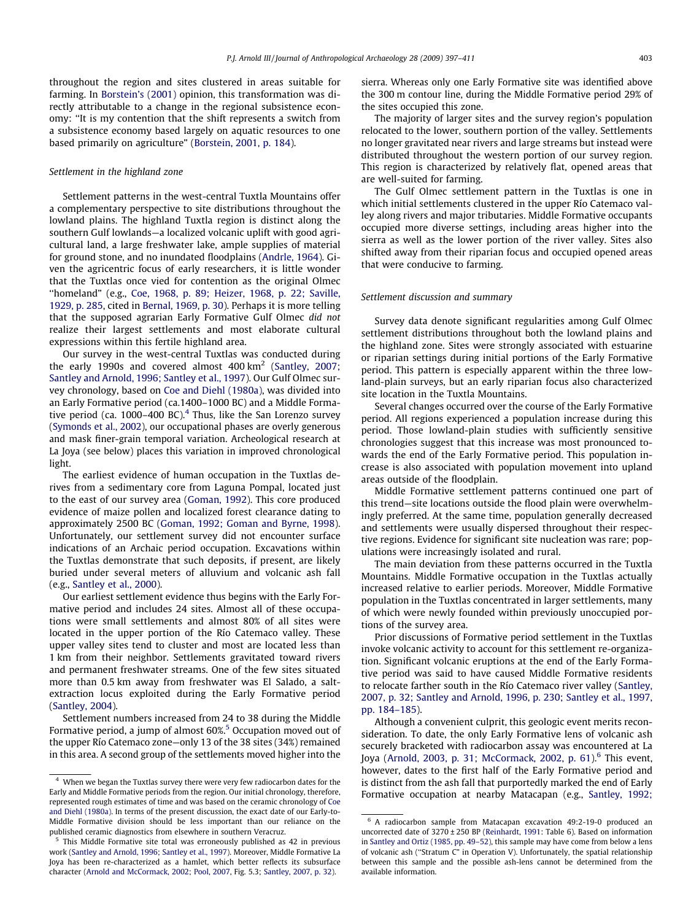throughout the region and sites clustered in areas suitable for farming. In [Borstein's \(2001\)](#page-12-0) opinion, this transformation was directly attributable to a change in the regional subsistence economy: ''It is my contention that the shift represents a switch from a subsistence economy based largely on aquatic resources to one based primarily on agriculture" ([Borstein, 2001, p. 184](#page-12-0)).

#### Settlement in the highland zone

Settlement patterns in the west-central Tuxtla Mountains offer a complementary perspective to site distributions throughout the lowland plains. The highland Tuxtla region is distinct along the southern Gulf lowlands—a localized volcanic uplift with good agricultural land, a large freshwater lake, ample supplies of material for ground stone, and no inundated floodplains [\(Andrle, 1964\)](#page-12-0). Given the agricentric focus of early researchers, it is little wonder that the Tuxtlas once vied for contention as the original Olmec ''homeland" (e.g., [Coe, 1968, p. 89; Heizer, 1968, p. 22; Saville,](#page-12-0) [1929, p. 285,](#page-12-0) cited in [Bernal, 1969, p. 30\)](#page-12-0). Perhaps it is more telling that the supposed agrarian Early Formative Gulf Olmec did not realize their largest settlements and most elaborate cultural expressions within this fertile highland area.

Our survey in the west-central Tuxtlas was conducted during the early 1990s and covered almost  $400 \text{ km}^2$  ([Santley, 2007;](#page-14-0) [Santley and Arnold, 1996; Santley et al., 1997\)](#page-14-0). Our Gulf Olmec survey chronology, based on [Coe and Diehl \(1980a\),](#page-12-0) was divided into an Early Formative period (ca.1400–1000 BC) and a Middle Formative period (ca. 1000–400 BC). $4$  Thus, like the San Lorenzo survey ([Symonds et al., 2002](#page-14-0)), our occupational phases are overly generous and mask finer-grain temporal variation. Archeological research at La Joya (see below) places this variation in improved chronological light.

The earliest evidence of human occupation in the Tuxtlas derives from a sedimentary core from Laguna Pompal, located just to the east of our survey area ([Goman, 1992\)](#page-13-0). This core produced evidence of maize pollen and localized forest clearance dating to approximately 2500 BC [\(Goman, 1992; Goman and Byrne, 1998\)](#page-13-0). Unfortunately, our settlement survey did not encounter surface indications of an Archaic period occupation. Excavations within the Tuxtlas demonstrate that such deposits, if present, are likely buried under several meters of alluvium and volcanic ash fall (e.g., [Santley et al., 2000](#page-14-0)).

Our earliest settlement evidence thus begins with the Early Formative period and includes 24 sites. Almost all of these occupations were small settlements and almost 80% of all sites were located in the upper portion of the Río Catemaco valley. These upper valley sites tend to cluster and most are located less than 1 km from their neighbor. Settlements gravitated toward rivers and permanent freshwater streams. One of the few sites situated more than 0.5 km away from freshwater was El Salado, a saltextraction locus exploited during the Early Formative period ([Santley, 2004\)](#page-14-0).

Settlement numbers increased from 24 to 38 during the Middle Formative period, a jump of almost 60%<sup>5</sup> Occupation moved out of the upper Río Catemaco zone—only 13 of the 38 sites (34%) remained in this area. A second group of the settlements moved higher into the

sierra. Whereas only one Early Formative site was identified above the 300 m contour line, during the Middle Formative period 29% of the sites occupied this zone.

The majority of larger sites and the survey region's population relocated to the lower, southern portion of the valley. Settlements no longer gravitated near rivers and large streams but instead were distributed throughout the western portion of our survey region. This region is characterized by relatively flat, opened areas that are well-suited for farming.

The Gulf Olmec settlement pattern in the Tuxtlas is one in which initial settlements clustered in the upper Río Catemaco valley along rivers and major tributaries. Middle Formative occupants occupied more diverse settings, including areas higher into the sierra as well as the lower portion of the river valley. Sites also shifted away from their riparian focus and occupied opened areas that were conducive to farming.

#### Settlement discussion and summary

Survey data denote significant regularities among Gulf Olmec settlement distributions throughout both the lowland plains and the highland zone. Sites were strongly associated with estuarine or riparian settings during initial portions of the Early Formative period. This pattern is especially apparent within the three lowland-plain surveys, but an early riparian focus also characterized site location in the Tuxtla Mountains.

Several changes occurred over the course of the Early Formative period. All regions experienced a population increase during this period. Those lowland-plain studies with sufficiently sensitive chronologies suggest that this increase was most pronounced towards the end of the Early Formative period. This population increase is also associated with population movement into upland areas outside of the floodplain.

Middle Formative settlement patterns continued one part of this trend—site locations outside the flood plain were overwhelmingly preferred. At the same time, population generally decreased and settlements were usually dispersed throughout their respective regions. Evidence for significant site nucleation was rare; populations were increasingly isolated and rural.

The main deviation from these patterns occurred in the Tuxtla Mountains. Middle Formative occupation in the Tuxtlas actually increased relative to earlier periods. Moreover, Middle Formative population in the Tuxtlas concentrated in larger settlements, many of which were newly founded within previously unoccupied portions of the survey area.

Prior discussions of Formative period settlement in the Tuxtlas invoke volcanic activity to account for this settlement re-organization. Significant volcanic eruptions at the end of the Early Formative period was said to have caused Middle Formative residents to relocate farther south in the Río Catemaco river valley ([Santley,](#page-14-0) [2007, p. 32; Santley and Arnold, 1996, p. 230; Santley et al., 1997,](#page-14-0) [pp. 184–185](#page-14-0)).

Although a convenient culprit, this geologic event merits reconsideration. To date, the only Early Formative lens of volcanic ash securely bracketed with radiocarbon assay was encountered at La Joya ([Arnold, 2003, p. 31; McCormack, 2002, p. 61\)](#page-12-0).<sup>6</sup> This event, however, dates to the first half of the Early Formative period and is distinct from the ash fall that purportedly marked the end of Early Formative occupation at nearby Matacapan (e.g., [Santley, 1992;](#page-13-0)

<sup>4</sup> When we began the Tuxtlas survey there were very few radiocarbon dates for the Early and Middle Formative periods from the region. Our initial chronology, therefore, represented rough estimates of time and was based on the ceramic chronology of [Coe](#page-12-0) [and Diehl \(1980a\).](#page-12-0) In terms of the present discussion, the exact date of our Early-to-Middle Formative division should be less important than our reliance on the published ceramic diagnostics from elsewhere in southern Veracruz.

 $5$  This Middle Formative site total was erroneously published as 42 in previous work ([Santley and Arnold, 1996; Santley et al., 1997\)](#page-14-0). Moreover, Middle Formative La Joya has been re-characterized as a hamlet, which better reflects its subsurface character ([Arnold and McCormack, 2002; Pool, 2007](#page-12-0), Fig. 5.3; [Santley, 2007, p. 32](#page-14-0)).

<sup>6</sup> A radiocarbon sample from Matacapan excavation 49:2-19-0 produced an uncorrected date of 3270 ± 250 BP ([Reinhardt, 1991](#page-13-0): Table 6). Based on information in [Santley and Ortiz \(1985, pp. 49–52\),](#page-14-0) this sample may have come from below a lens of volcanic ash (''Stratum C" in Operation V). Unfortunately, the spatial relationship between this sample and the possible ash-lens cannot be determined from the available information.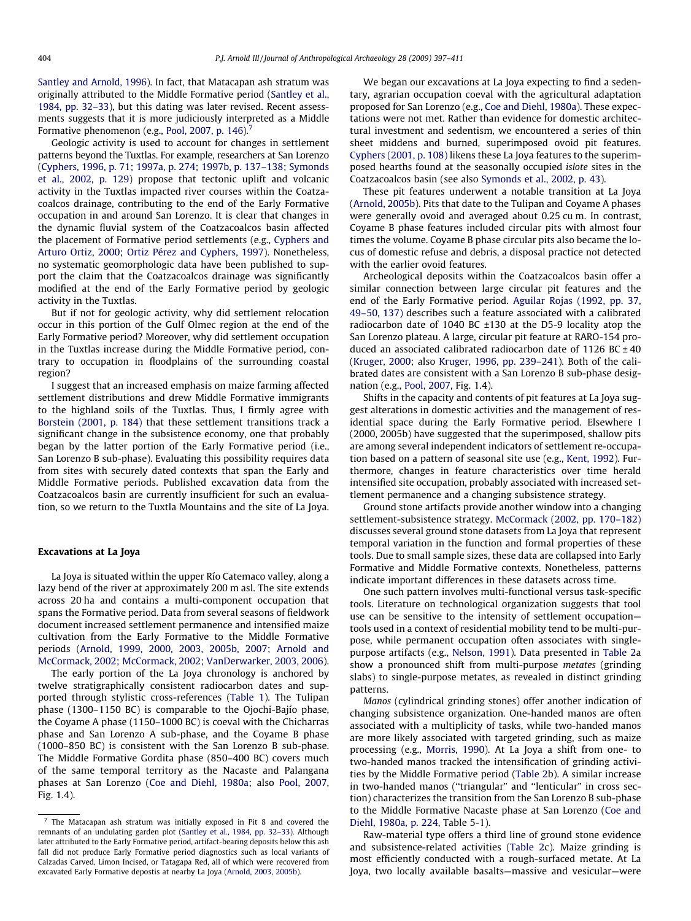[Santley and Arnold, 1996](#page-13-0)). In fact, that Matacapan ash stratum was originally attributed to the Middle Formative period ([Santley et al.,](#page-14-0) [1984, pp. 32–33\)](#page-14-0), but this dating was later revised. Recent assessments suggests that it is more judiciously interpreted as a Middle Formative phenomenon (e.g., [Pool, 2007, p. 146\)](#page-13-0).<sup>7</sup>

Geologic activity is used to account for changes in settlement patterns beyond the Tuxtlas. For example, researchers at San Lorenzo ([Cyphers, 1996, p. 71; 1997a, p. 274; 1997b, p. 137–138; Symonds](#page-12-0) [et al., 2002, p. 129](#page-12-0)) propose that tectonic uplift and volcanic activity in the Tuxtlas impacted river courses within the Coatzacoalcos drainage, contributing to the end of the Early Formative occupation in and around San Lorenzo. It is clear that changes in the dynamic fluvial system of the Coatzacoalcos basin affected the placement of Formative period settlements (e.g., [Cyphers and](#page-12-0) [Arturo Ortiz, 2000; Ortiz Pérez and Cyphers, 1997\)](#page-12-0). Nonetheless, no systematic geomorphologic data have been published to support the claim that the Coatzacoalcos drainage was significantly modified at the end of the Early Formative period by geologic activity in the Tuxtlas.

But if not for geologic activity, why did settlement relocation occur in this portion of the Gulf Olmec region at the end of the Early Formative period? Moreover, why did settlement occupation in the Tuxtlas increase during the Middle Formative period, contrary to occupation in floodplains of the surrounding coastal region?

I suggest that an increased emphasis on maize farming affected settlement distributions and drew Middle Formative immigrants to the highland soils of the Tuxtlas. Thus, I firmly agree with [Borstein \(2001, p. 184\)](#page-12-0) that these settlement transitions track a significant change in the subsistence economy, one that probably began by the latter portion of the Early Formative period (i.e., San Lorenzo B sub-phase). Evaluating this possibility requires data from sites with securely dated contexts that span the Early and Middle Formative periods. Published excavation data from the Coatzacoalcos basin are currently insufficient for such an evaluation, so we return to the Tuxtla Mountains and the site of La Joya.

#### Excavations at La Joya

La Joya is situated within the upper Río Catemaco valley, along a lazy bend of the river at approximately 200 m asl. The site extends across 20 ha and contains a multi-component occupation that spans the Formative period. Data from several seasons of fieldwork document increased settlement permanence and intensified maize cultivation from the Early Formative to the Middle Formative periods [\(Arnold, 1999, 2000, 2003, 2005b, 2007; Arnold and](#page-12-0) [McCormack, 2002; McCormack, 2002; VanDerwarker, 2003, 2006\)](#page-12-0).

The early portion of the La Joya chronology is anchored by twelve stratigraphically consistent radiocarbon dates and supported through stylistic cross-references ([Table 1\)](#page-8-0). The Tulipan phase (1300–1150 BC) is comparable to the Ojochi-Bajío phase, the Coyame A phase (1150–1000 BC) is coeval with the Chicharras phase and San Lorenzo A sub-phase, and the Coyame B phase (1000–850 BC) is consistent with the San Lorenzo B sub-phase. The Middle Formative Gordita phase (850–400 BC) covers much of the same temporal territory as the Nacaste and Palangana phases at San Lorenzo ([Coe and Diehl, 1980a](#page-12-0); also [Pool, 2007,](#page-13-0) Fig. 1.4).

We began our excavations at La Joya expecting to find a sedentary, agrarian occupation coeval with the agricultural adaptation proposed for San Lorenzo (e.g., [Coe and Diehl, 1980a](#page-12-0)). These expectations were not met. Rather than evidence for domestic architectural investment and sedentism, we encountered a series of thin sheet middens and burned, superimposed ovoid pit features. [Cyphers \(2001, p. 108\)](#page-12-0) likens these La Joya features to the superimposed hearths found at the seasonally occupied islote sites in the Coatzacoalcos basin (see also [Symonds et al., 2002, p. 43\)](#page-14-0).

These pit features underwent a notable transition at La Joya ([Arnold, 2005b\)](#page-12-0). Pits that date to the Tulipan and Coyame A phases were generally ovoid and averaged about 0.25 cu m. In contrast, Coyame B phase features included circular pits with almost four times the volume. Coyame B phase circular pits also became the locus of domestic refuse and debris, a disposal practice not detected with the earlier ovoid features.

Archeological deposits within the Coatzacoalcos basin offer a similar connection between large circular pit features and the end of the Early Formative period. [Aguilar Rojas \(1992, pp. 37,](#page-12-0) [49–50, 137\)](#page-12-0) describes such a feature associated with a calibrated radiocarbon date of 1040 BC ±130 at the D5-9 locality atop the San Lorenzo plateau. A large, circular pit feature at RARO-154 produced an associated calibrated radiocarbon date of  $1126$  BC  $\pm$  40 ([Kruger, 2000](#page-13-0); also [Kruger, 1996, pp. 239–241](#page-13-0)). Both of the calibrated dates are consistent with a San Lorenzo B sub-phase designation (e.g., [Pool, 2007](#page-13-0), Fig. 1.4).

Shifts in the capacity and contents of pit features at La Joya suggest alterations in domestic activities and the management of residential space during the Early Formative period. Elsewhere I (2000, 2005b) have suggested that the superimposed, shallow pits are among several independent indicators of settlement re-occupation based on a pattern of seasonal site use (e.g., [Kent, 1992\)](#page-13-0). Furthermore, changes in feature characteristics over time herald intensified site occupation, probably associated with increased settlement permanence and a changing subsistence strategy.

Ground stone artifacts provide another window into a changing settlement-subsistence strategy. [McCormack \(2002, pp. 170–182\)](#page-13-0) discusses several ground stone datasets from La Joya that represent temporal variation in the function and formal properties of these tools. Due to small sample sizes, these data are collapsed into Early Formative and Middle Formative contexts. Nonetheless, patterns indicate important differences in these datasets across time.

One such pattern involves multi-functional versus task-specific tools. Literature on technological organization suggests that tool use can be sensitive to the intensity of settlement occupation tools used in a context of residential mobility tend to be multi-purpose, while permanent occupation often associates with singlepurpose artifacts (e.g., [Nelson, 1991](#page-13-0)). Data presented in [Table 2a](#page-8-0) show a pronounced shift from multi-purpose metates (grinding slabs) to single-purpose metates, as revealed in distinct grinding patterns.

Manos (cylindrical grinding stones) offer another indication of changing subsistence organization. One-handed manos are often associated with a multiplicity of tasks, while two-handed manos are more likely associated with targeted grinding, such as maize processing (e.g., [Morris, 1990\)](#page-13-0). At La Joya a shift from one- to two-handed manos tracked the intensification of grinding activities by the Middle Formative period ([Table 2](#page-8-0)b). A similar increase in two-handed manos (''triangular" and ''lenticular" in cross section) characterizes the transition from the San Lorenzo B sub-phase to the Middle Formative Nacaste phase at San Lorenzo ([Coe and](#page-12-0) [Diehl, 1980a, p. 224,](#page-12-0) Table 5-1).

Raw-material type offers a third line of ground stone evidence and subsistence-related activities ([Table 2c](#page-8-0)). Maize grinding is most efficiently conducted with a rough-surfaced metate. At La Joya, two locally available basalts—massive and vesicular—were

<sup>7</sup> The Matacapan ash stratum was initially exposed in Pit 8 and covered the remnants of an undulating garden plot ([Santley et al., 1984, pp. 32–33](#page-14-0)). Although later attributed to the Early Formative period, artifact-bearing deposits below this ash fall did not produce Early Formative period diagnostics such as local variants of Calzadas Carved, Limon Incised, or Tatagapa Red, all of which were recovered from excavated Early Formative depostis at nearby La Joya ([Arnold, 2003, 2005b](#page-12-0)).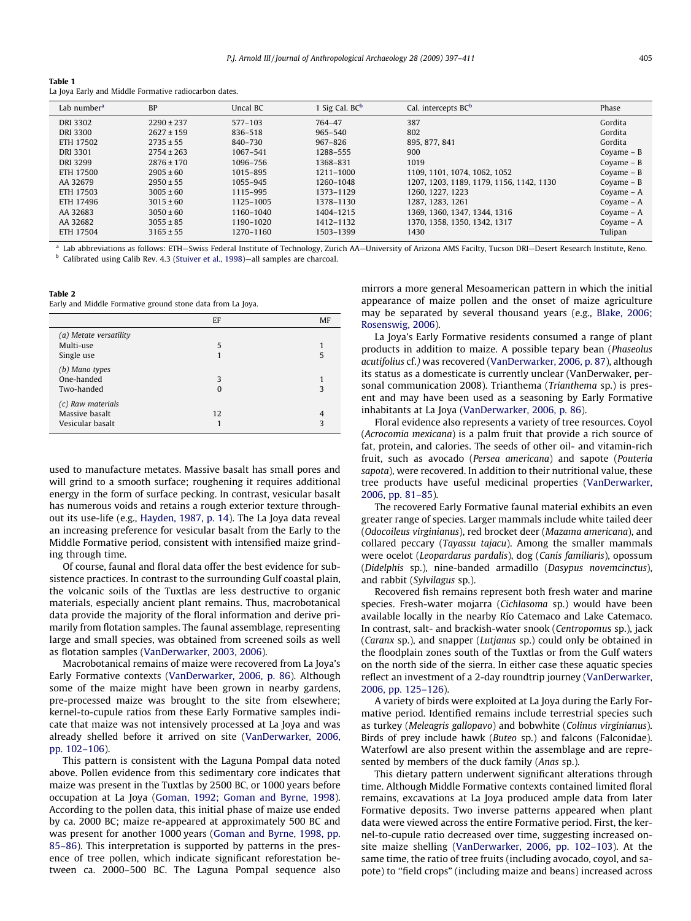<span id="page-8-0"></span>

| Table 1                                               |  |  |
|-------------------------------------------------------|--|--|
| La Joya Early and Middle Formative radiocarbon dates. |  |  |

| Lab number <sup>a</sup> | <b>BP</b>      | Uncal BC    | 1 Sig Cal. BC <sup>b</sup> | Cal. intercepts BC <sup>b</sup>          | Phase        |
|-------------------------|----------------|-------------|----------------------------|------------------------------------------|--------------|
| DRI 3302                | $2290 \pm 237$ | $577 - 103$ | 764-47                     | 387                                      | Gordita      |
| DRI 3300                | $2627 \pm 159$ | 836-518     | $965 - 540$                | 802                                      | Gordita      |
| ETH 17502               | $2735 \pm 55$  | 840-730     | $967 - 826$                | 895, 877, 841                            | Gordita      |
| DRI 3301                | $2754 \pm 263$ | 1067-541    | 1288-555                   | 900                                      | Covame $- B$ |
| DRI 3299                | $2876 \pm 170$ | 1096-756    | 1368-831                   | 1019                                     | Covame $- B$ |
| ETH 17500               | $2905 \pm 60$  | 1015-895    | 1211-1000                  | 1109, 1101, 1074, 1062, 1052             | Covame $- B$ |
| AA 32679                | $2950 \pm 55$  | 1055-945    | 1260-1048                  | 1207, 1203, 1189, 1179, 1156, 1142, 1130 | Covame $- B$ |
| ETH 17503               | $3005 \pm 60$  | 1115-995    | 1373-1129                  | 1260, 1227, 1223                         | Coyame – A   |
| ETH 17496               | $3015 \pm 60$  | 1125-1005   | 1378-1130                  | 1287, 1283, 1261                         | Covame $-$ A |
| AA 32683                | $3050 \pm 60$  | 1160-1040   | 1404-1215                  | 1369, 1360, 1347, 1344, 1316             | Coyame – A   |
| AA 32682                | $3055 \pm 85$  | 1190-1020   | 1412-1132                  | 1370, 1358, 1350, 1342, 1317             | Covame $- A$ |
| ETH 17504               | $3165 \pm 55$  | 1270-1160   | 1503-1399                  | 1430                                     | Tulipan      |

<sup>a</sup> Lab abbreviations as follows: ETH—Swiss Federal Institute of Technology, Zurich AA—University of Arizona AMS Facilty, Tucson DRI—Desert Research Institute, Reno. <sup>b</sup> Calibrated using Calib Rev. 4.3 ([Stuiver et al., 1998](#page-14-0))—all samples are charcoal.

Table 2 Early and Middle Formative ground stone data from La Joya.

|                        | EF | MF |
|------------------------|----|----|
| (a) Metate versatility |    |    |
| Multi-use              | 5  |    |
| Single use             | 1  | 5  |
| (b) Mano types         |    |    |
| One-handed             | 3  |    |
| Two-handed             | 0  |    |
| (c) Raw materials      |    |    |
| Massive basalt         | 12 |    |
| Vesicular basalt       |    |    |

used to manufacture metates. Massive basalt has small pores and will grind to a smooth surface; roughening it requires additional energy in the form of surface pecking. In contrast, vesicular basalt has numerous voids and retains a rough exterior texture throughout its use-life (e.g., [Hayden, 1987, p. 14](#page-13-0)). The La Joya data reveal an increasing preference for vesicular basalt from the Early to the Middle Formative period, consistent with intensified maize grinding through time.

Of course, faunal and floral data offer the best evidence for subsistence practices. In contrast to the surrounding Gulf coastal plain, the volcanic soils of the Tuxtlas are less destructive to organic materials, especially ancient plant remains. Thus, macrobotanical data provide the majority of the floral information and derive primarily from flotation samples. The faunal assemblage, representing large and small species, was obtained from screened soils as well as flotation samples [\(VanDerwarker, 2003, 2006\)](#page-14-0).

Macrobotanical remains of maize were recovered from La Joya's Early Formative contexts ([VanDerwarker, 2006, p. 86](#page-14-0)). Although some of the maize might have been grown in nearby gardens, pre-processed maize was brought to the site from elsewhere; kernel-to-cupule ratios from these Early Formative samples indicate that maize was not intensively processed at La Joya and was already shelled before it arrived on site ([VanDerwarker, 2006,](#page-14-0) [pp. 102–106](#page-14-0)).

This pattern is consistent with the Laguna Pompal data noted above. Pollen evidence from this sedimentary core indicates that maize was present in the Tuxtlas by 2500 BC, or 1000 years before occupation at La Joya [\(Goman, 1992; Goman and Byrne, 1998\)](#page-13-0). According to the pollen data, this initial phase of maize use ended by ca. 2000 BC; maize re-appeared at approximately 500 BC and was present for another 1000 years [\(Goman and Byrne, 1998, pp.](#page-13-0) [85–86](#page-13-0)). This interpretation is supported by patterns in the presence of tree pollen, which indicate significant reforestation between ca. 2000–500 BC. The Laguna Pompal sequence also mirrors a more general Mesoamerican pattern in which the initial appearance of maize pollen and the onset of maize agriculture may be separated by several thousand years (e.g., [Blake, 2006;](#page-12-0) [Rosenswig, 2006\)](#page-12-0).

La Joya's Early Formative residents consumed a range of plant products in addition to maize. A possible tepary bean (Phaseolus acutifolius cf.) was recovered [\(VanDerwarker, 2006, p. 87](#page-14-0)), although its status as a domesticate is currently unclear (VanDerwaker, personal communication 2008). Trianthema (Trianthema sp.) is present and may have been used as a seasoning by Early Formative inhabitants at La Joya ([VanDerwarker, 2006, p. 86](#page-14-0)).

Floral evidence also represents a variety of tree resources. Coyol (Acrocomia mexicana) is a palm fruit that provide a rich source of fat, protein, and calories. The seeds of other oil- and vitamin-rich fruit, such as avocado (Persea americana) and sapote (Pouteria sapota), were recovered. In addition to their nutritional value, these tree products have useful medicinal properties [\(VanDerwarker,](#page-14-0) [2006, pp. 81–85](#page-14-0)).

The recovered Early Formative faunal material exhibits an even greater range of species. Larger mammals include white tailed deer (Odocoileus virginianus), red brocket deer (Mazama americana), and collared peccary (Tayassu tajacu). Among the smaller mammals were ocelot (Leopardarus pardalis), dog (Canis familiaris), opossum (Didelphis sp.), nine-banded armadillo (Dasypus novemcinctus), and rabbit (Sylvilagus sp.).

Recovered fish remains represent both fresh water and marine species. Fresh-water mojarra (Cichlasoma sp.) would have been available locally in the nearby Río Catemaco and Lake Catemaco. In contrast, salt- and brackish-water snook (Centropomus sp.), jack (Caranx sp.), and snapper (Lutjanus sp.) could only be obtained in the floodplain zones south of the Tuxtlas or from the Gulf waters on the north side of the sierra. In either case these aquatic species reflect an investment of a 2-day roundtrip journey ([VanDerwarker,](#page-14-0) [2006, pp. 125–126\)](#page-14-0).

A variety of birds were exploited at La Joya during the Early Formative period. Identified remains include terrestrial species such as turkey (Meleagris gallopavo) and bobwhite (Colinus virginianus). Birds of prey include hawk (Buteo sp.) and falcons (Falconidae). Waterfowl are also present within the assemblage and are represented by members of the duck family (Anas sp.).

This dietary pattern underwent significant alterations through time. Although Middle Formative contexts contained limited floral remains, excavations at La Joya produced ample data from later Formative deposits. Two inverse patterns appeared when plant data were viewed across the entire Formative period. First, the kernel-to-cupule ratio decreased over time, suggesting increased onsite maize shelling [\(VanDerwarker, 2006, pp. 102–103](#page-14-0)). At the same time, the ratio of tree fruits (including avocado, coyol, and sapote) to ''field crops" (including maize and beans) increased across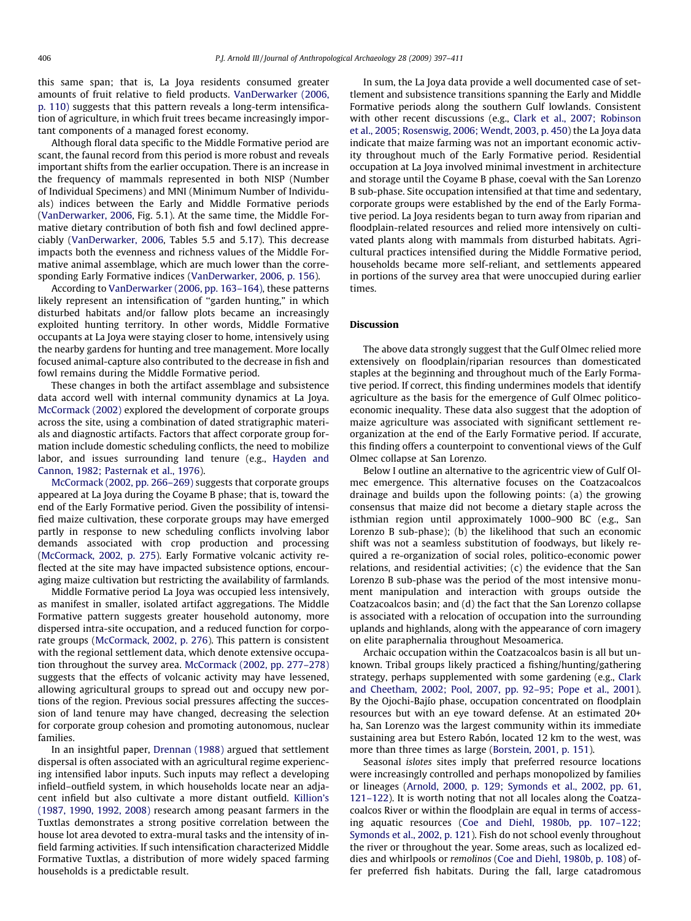this same span; that is, La Joya residents consumed greater amounts of fruit relative to field products. [VanDerwarker \(2006,](#page-14-0) [p. 110\)](#page-14-0) suggests that this pattern reveals a long-term intensification of agriculture, in which fruit trees became increasingly important components of a managed forest economy.

Although floral data specific to the Middle Formative period are scant, the faunal record from this period is more robust and reveals important shifts from the earlier occupation. There is an increase in the frequency of mammals represented in both NISP (Number of Individual Specimens) and MNI (Minimum Number of Individuals) indices between the Early and Middle Formative periods ([VanDerwarker, 2006,](#page-14-0) Fig. 5.1). At the same time, the Middle Formative dietary contribution of both fish and fowl declined appreciably ([VanDerwarker, 2006,](#page-14-0) Tables 5.5 and 5.17). This decrease impacts both the evenness and richness values of the Middle Formative animal assemblage, which are much lower than the corresponding Early Formative indices ([VanDerwarker, 2006, p. 156](#page-14-0)).

According to [VanDerwarker \(2006, pp. 163–164\)](#page-14-0), these patterns likely represent an intensification of ''garden hunting," in which disturbed habitats and/or fallow plots became an increasingly exploited hunting territory. In other words, Middle Formative occupants at La Joya were staying closer to home, intensively using the nearby gardens for hunting and tree management. More locally focused animal-capture also contributed to the decrease in fish and fowl remains during the Middle Formative period.

These changes in both the artifact assemblage and subsistence data accord well with internal community dynamics at La Joya. [McCormack \(2002\)](#page-13-0) explored the development of corporate groups across the site, using a combination of dated stratigraphic materials and diagnostic artifacts. Factors that affect corporate group formation include domestic scheduling conflicts, the need to mobilize labor, and issues surrounding land tenure (e.g., [Hayden and](#page-13-0) [Cannon, 1982; Pasternak et al., 1976](#page-13-0)).

[McCormack \(2002, pp. 266–269\)](#page-13-0) suggests that corporate groups appeared at La Joya during the Coyame B phase; that is, toward the end of the Early Formative period. Given the possibility of intensified maize cultivation, these corporate groups may have emerged partly in response to new scheduling conflicts involving labor demands associated with crop production and processing ([McCormack, 2002, p. 275](#page-13-0)). Early Formative volcanic activity reflected at the site may have impacted subsistence options, encouraging maize cultivation but restricting the availability of farmlands.

Middle Formative period La Joya was occupied less intensively, as manifest in smaller, isolated artifact aggregations. The Middle Formative pattern suggests greater household autonomy, more dispersed intra-site occupation, and a reduced function for corporate groups [\(McCormack, 2002, p. 276](#page-13-0)). This pattern is consistent with the regional settlement data, which denote extensive occupation throughout the survey area. [McCormack \(2002, pp. 277–278\)](#page-13-0) suggests that the effects of volcanic activity may have lessened, allowing agricultural groups to spread out and occupy new portions of the region. Previous social pressures affecting the succession of land tenure may have changed, decreasing the selection for corporate group cohesion and promoting autonomous, nuclear families.

In an insightful paper, [Drennan \(1988\)](#page-13-0) argued that settlement dispersal is often associated with an agricultural regime experiencing intensified labor inputs. Such inputs may reflect a developing infield–outfield system, in which households locate near an adjacent infield but also cultivate a more distant outfield. [Killion's](#page-13-0) [\(1987, 1990, 1992, 2008\)](#page-13-0) research among peasant farmers in the Tuxtlas demonstrates a strong positive correlation between the house lot area devoted to extra-mural tasks and the intensity of infield farming activities. If such intensification characterized Middle Formative Tuxtlas, a distribution of more widely spaced farming households is a predictable result.

In sum, the La Joya data provide a well documented case of settlement and subsistence transitions spanning the Early and Middle Formative periods along the southern Gulf lowlands. Consistent with other recent discussions (e.g., [Clark et al., 2007; Robinson](#page-12-0) [et al., 2005; Rosenswig, 2006; Wendt, 2003, p. 450](#page-12-0)) the La Joya data indicate that maize farming was not an important economic activity throughout much of the Early Formative period. Residential occupation at La Joya involved minimal investment in architecture and storage until the Coyame B phase, coeval with the San Lorenzo B sub-phase. Site occupation intensified at that time and sedentary, corporate groups were established by the end of the Early Formative period. La Joya residents began to turn away from riparian and floodplain-related resources and relied more intensively on cultivated plants along with mammals from disturbed habitats. Agricultural practices intensified during the Middle Formative period, households became more self-reliant, and settlements appeared in portions of the survey area that were unoccupied during earlier times.

# Discussion

The above data strongly suggest that the Gulf Olmec relied more extensively on floodplain/riparian resources than domesticated staples at the beginning and throughout much of the Early Formative period. If correct, this finding undermines models that identify agriculture as the basis for the emergence of Gulf Olmec politicoeconomic inequality. These data also suggest that the adoption of maize agriculture was associated with significant settlement reorganization at the end of the Early Formative period. If accurate, this finding offers a counterpoint to conventional views of the Gulf Olmec collapse at San Lorenzo.

Below I outline an alternative to the agricentric view of Gulf Olmec emergence. This alternative focuses on the Coatzacoalcos drainage and builds upon the following points: (a) the growing consensus that maize did not become a dietary staple across the isthmian region until approximately 1000–900 BC (e.g., San Lorenzo B sub-phase); (b) the likelihood that such an economic shift was not a seamless substitution of foodways, but likely required a re-organization of social roles, politico-economic power relations, and residential activities; (c) the evidence that the San Lorenzo B sub-phase was the period of the most intensive monument manipulation and interaction with groups outside the Coatzacoalcos basin; and (d) the fact that the San Lorenzo collapse is associated with a relocation of occupation into the surrounding uplands and highlands, along with the appearance of corn imagery on elite paraphernalia throughout Mesoamerica.

Archaic occupation within the Coatzacoalcos basin is all but unknown. Tribal groups likely practiced a fishing/hunting/gathering strategy, perhaps supplemented with some gardening (e.g., [Clark](#page-12-0) [and Cheetham, 2002; Pool, 2007, pp. 92–95; Pope et al., 2001\)](#page-12-0). By the Ojochi-Bajío phase, occupation concentrated on floodplain resources but with an eye toward defense. At an estimated 20+ ha, San Lorenzo was the largest community within its immediate sustaining area but Estero Rabón, located 12 km to the west, was more than three times as large [\(Borstein, 2001, p. 151](#page-12-0)).

Seasonal islotes sites imply that preferred resource locations were increasingly controlled and perhaps monopolized by families or lineages ([Arnold, 2000, p. 129; Symonds et al., 2002, pp. 61,](#page-12-0) [121–122](#page-12-0)). It is worth noting that not all locales along the Coatzacoalcos River or within the floodplain are equal in terms of accessing aquatic resources ([Coe and Diehl, 1980b, pp. 107–122;](#page-12-0) [Symonds et al., 2002, p. 121](#page-12-0)). Fish do not school evenly throughout the river or throughout the year. Some areas, such as localized eddies and whirlpools or remolinos [\(Coe and Diehl, 1980b, p. 108\)](#page-12-0) offer preferred fish habitats. During the fall, large catadromous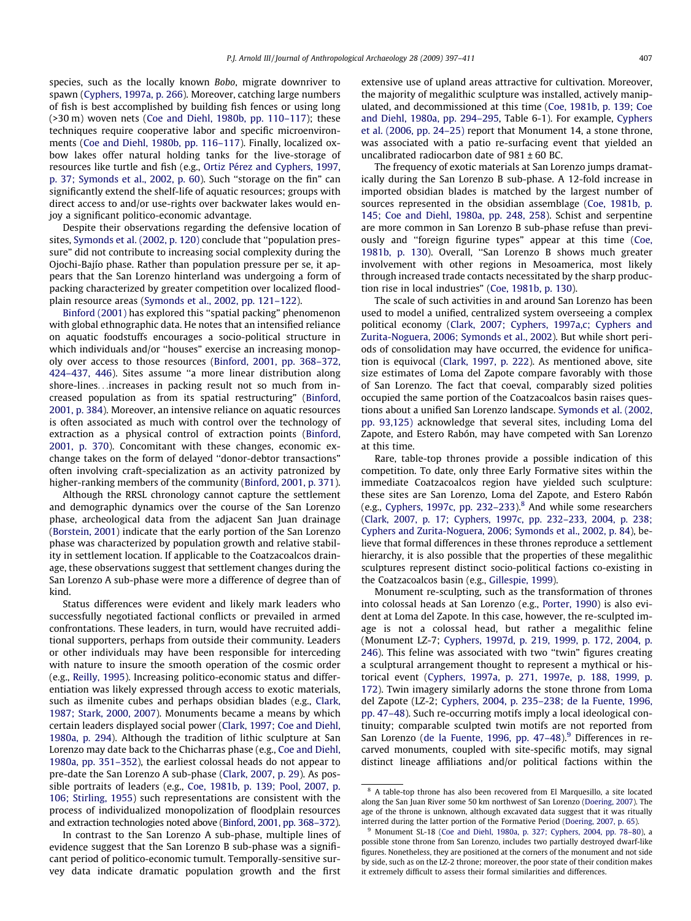species, such as the locally known Bobo, migrate downriver to spawn [\(Cyphers, 1997a, p. 266\)](#page-12-0). Moreover, catching large numbers of fish is best accomplished by building fish fences or using long (>30 m) woven nets ([Coe and Diehl, 1980b, pp. 110–117](#page-12-0)); these techniques require cooperative labor and specific microenvironments [\(Coe and Diehl, 1980b, pp. 116–117\)](#page-12-0). Finally, localized oxbow lakes offer natural holding tanks for the live-storage of resources like turtle and fish (e.g., [Ortiz Pérez and Cyphers, 1997,](#page-13-0) [p. 37; Symonds et al., 2002, p. 60](#page-13-0)). Such ''storage on the fin" can significantly extend the shelf-life of aquatic resources; groups with direct access to and/or use-rights over backwater lakes would enjoy a significant politico-economic advantage.

Despite their observations regarding the defensive location of sites, [Symonds et al. \(2002, p. 120\)](#page-14-0) conclude that ''population pressure" did not contribute to increasing social complexity during the Ojochi-Bajío phase. Rather than population pressure per se, it appears that the San Lorenzo hinterland was undergoing a form of packing characterized by greater competition over localized floodplain resource areas [\(Symonds et al., 2002, pp. 121–122\)](#page-14-0).

[Binford \(2001\)](#page-12-0) has explored this ''spatial packing" phenomenon with global ethnographic data. He notes that an intensified reliance on aquatic foodstuffs encourages a socio-political structure in which individuals and/or ''houses" exercise an increasing monopoly over access to those resources ([Binford, 2001, pp. 368–372,](#page-12-0) [424–437, 446](#page-12-0)). Sites assume ''a more linear distribution along shore-lines...increases in packing result not so much from increased population as from its spatial restructuring" ([Binford,](#page-12-0) [2001, p. 384\)](#page-12-0). Moreover, an intensive reliance on aquatic resources is often associated as much with control over the technology of extraction as a physical control of extraction points ([Binford,](#page-12-0) [2001, p. 370\)](#page-12-0). Concomitant with these changes, economic exchange takes on the form of delayed ''donor-debtor transactions" often involving craft-specialization as an activity patronized by higher-ranking members of the community ([Binford, 2001, p. 371\)](#page-12-0).

Although the RRSL chronology cannot capture the settlement and demographic dynamics over the course of the San Lorenzo phase, archeological data from the adjacent San Juan drainage ([Borstein, 2001](#page-12-0)) indicate that the early portion of the San Lorenzo phase was characterized by population growth and relative stability in settlement location. If applicable to the Coatzacoalcos drainage, these observations suggest that settlement changes during the San Lorenzo A sub-phase were more a difference of degree than of kind.

Status differences were evident and likely mark leaders who successfully negotiated factional conflicts or prevailed in armed confrontations. These leaders, in turn, would have recruited additional supporters, perhaps from outside their community. Leaders or other individuals may have been responsible for interceding with nature to insure the smooth operation of the cosmic order (e.g., [Reilly, 1995\)](#page-13-0). Increasing politico-economic status and differentiation was likely expressed through access to exotic materials, such as ilmenite cubes and perhaps obsidian blades (e.g., [Clark,](#page-12-0) [1987; Stark, 2000, 2007](#page-12-0)). Monuments became a means by which certain leaders displayed social power ([Clark, 1997; Coe and Diehl,](#page-12-0) [1980a, p. 294](#page-12-0)). Although the tradition of lithic sculpture at San Lorenzo may date back to the Chicharras phase (e.g., [Coe and Diehl,](#page-12-0) [1980a, pp. 351–352](#page-12-0)), the earliest colossal heads do not appear to pre-date the San Lorenzo A sub-phase [\(Clark, 2007, p. 29](#page-12-0)). As possible portraits of leaders (e.g., [Coe, 1981b, p. 139; Pool, 2007, p.](#page-12-0) [106; Stirling, 1955\)](#page-12-0) such representations are consistent with the process of individualized monopolization of floodplain resources and extraction technologies noted above [\(Binford, 2001, pp. 368–372\)](#page-12-0).

In contrast to the San Lorenzo A sub-phase, multiple lines of evidence suggest that the San Lorenzo B sub-phase was a significant period of politico-economic tumult. Temporally-sensitive survey data indicate dramatic population growth and the first extensive use of upland areas attractive for cultivation. Moreover, the majority of megalithic sculpture was installed, actively manipulated, and decommissioned at this time ([Coe, 1981b, p. 139; Coe](#page-12-0) [and Diehl, 1980a, pp. 294–295](#page-12-0), Table 6-1). For example, [Cyphers](#page-12-0) [et al. \(2006, pp. 24–25\)](#page-12-0) report that Monument 14, a stone throne, was associated with a patio re-surfacing event that yielded an uncalibrated radiocarbon date of 981 ± 60 BC.

The frequency of exotic materials at San Lorenzo jumps dramatically during the San Lorenzo B sub-phase. A 12-fold increase in imported obsidian blades is matched by the largest number of sources represented in the obsidian assemblage ([Coe, 1981b, p.](#page-12-0) [145; Coe and Diehl, 1980a, pp. 248, 258\)](#page-12-0). Schist and serpentine are more common in San Lorenzo B sub-phase refuse than previously and ''foreign figurine types" appear at this time ([Coe,](#page-12-0) [1981b, p. 130\)](#page-12-0). Overall, ''San Lorenzo B shows much greater involvement with other regions in Mesoamerica, most likely through increased trade contacts necessitated by the sharp production rise in local industries" ([Coe, 1981b, p. 130](#page-12-0)).

The scale of such activities in and around San Lorenzo has been used to model a unified, centralized system overseeing a complex political economy [\(Clark, 2007; Cyphers, 1997a,c; Cyphers and](#page-12-0) [Zurita-Noguera, 2006; Symonds et al., 2002](#page-12-0)). But while short periods of consolidation may have occurred, the evidence for unification is equivocal [\(Clark, 1997, p. 222](#page-12-0)). As mentioned above, site size estimates of Loma del Zapote compare favorably with those of San Lorenzo. The fact that coeval, comparably sized polities occupied the same portion of the Coatzacoalcos basin raises questions about a unified San Lorenzo landscape. [Symonds et al. \(2002,](#page-14-0) [pp. 93,125\)](#page-14-0) acknowledge that several sites, including Loma del Zapote, and Estero Rabón, may have competed with San Lorenzo at this time.

Rare, table-top thrones provide a possible indication of this competition. To date, only three Early Formative sites within the immediate Coatzacoalcos region have yielded such sculpture: these sites are San Lorenzo, Loma del Zapote, and Estero Rabón (e.g., Cyphers, 1997c, pp. 232-233).<sup>8</sup> And while some researchers [\(Clark, 2007, p. 17; Cyphers, 1997c, pp. 232–233, 2004, p. 238;](#page-12-0) [Cyphers and Zurita-Noguera, 2006; Symonds et al., 2002, p. 84](#page-12-0)), believe that formal differences in these thrones reproduce a settlement hierarchy, it is also possible that the properties of these megalithic sculptures represent distinct socio-political factions co-existing in the Coatzacoalcos basin (e.g., [Gillespie, 1999\)](#page-13-0).

Monument re-sculpting, such as the transformation of thrones into colossal heads at San Lorenzo (e.g., [Porter, 1990\)](#page-13-0) is also evident at Loma del Zapote. In this case, however, the re-sculpted image is not a colossal head, but rather a megalithic feline (Monument LZ-7; [Cyphers, 1997d, p. 219, 1999, p. 172, 2004, p.](#page-12-0) [246\)](#page-12-0). This feline was associated with two ''twin" figures creating a sculptural arrangement thought to represent a mythical or historical event ([Cyphers, 1997a, p. 271, 1997e, p. 188, 1999, p.](#page-12-0) [172\)](#page-12-0). Twin imagery similarly adorns the stone throne from Loma del Zapote (LZ-2; [Cyphers, 2004, p. 235–238; de la Fuente, 1996,](#page-12-0) [pp. 47–48](#page-12-0)). Such re-occurring motifs imply a local ideological continuity; comparable sculpted twin motifs are not reported from San Lorenzo (de la Fuente, 1996, pp. 47-48).<sup>9</sup> Differences in recarved monuments, coupled with site-specific motifs, may signal distinct lineage affiliations and/or political factions within the

<sup>8</sup> A table-top throne has also been recovered from El Marquesillo, a site located along the San Juan River some 50 km northwest of San Lorenzo [\(Doering, 2007\)](#page-13-0). The age of the throne is unknown, although excavated data suggest that it was ritually interred during the latter portion of the Formative Period [\(Doering, 2007, p. 65\)](#page-13-0).

<sup>9</sup> Monument SL-18 ([Coe and Diehl, 1980a, p. 327; Cyphers, 2004, pp. 78–80\)](#page-12-0), a possible stone throne from San Lorenzo, includes two partially destroyed dwarf-like figures. Nonetheless, they are positioned at the corners of the monument and not side by side, such as on the LZ-2 throne; moreover, the poor state of their condition makes it extremely difficult to assess their formal similarities and differences.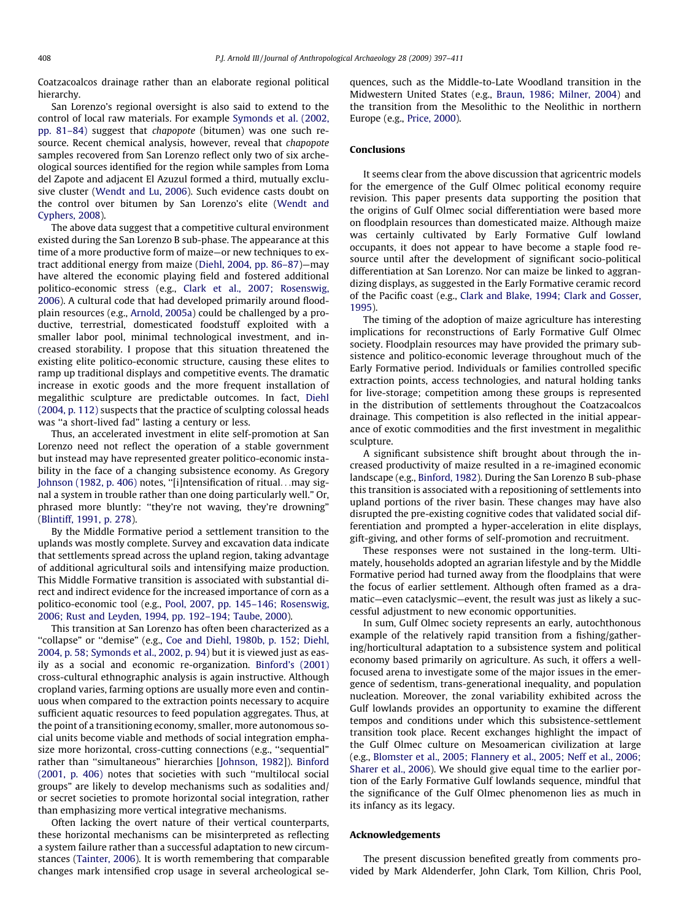Coatzacoalcos drainage rather than an elaborate regional political hierarchy.

San Lorenzo's regional oversight is also said to extend to the control of local raw materials. For example [Symonds et al. \(2002,](#page-14-0) [pp. 81–84\)](#page-14-0) suggest that chapopote (bitumen) was one such resource. Recent chemical analysis, however, reveal that chapopote samples recovered from San Lorenzo reflect only two of six archeological sources identified for the region while samples from Loma del Zapote and adjacent El Azuzul formed a third, mutually exclusive cluster [\(Wendt and Lu, 2006](#page-14-0)). Such evidence casts doubt on the control over bitumen by San Lorenzo's elite ([Wendt and](#page-14-0) [Cyphers, 2008\)](#page-14-0).

The above data suggest that a competitive cultural environment existed during the San Lorenzo B sub-phase. The appearance at this time of a more productive form of maize—or new techniques to extract additional energy from maize ([Diehl, 2004, pp. 86–87\)](#page-13-0)—may have altered the economic playing field and fostered additional politico-economic stress (e.g., [Clark et al., 2007; Rosenswig,](#page-12-0) [2006\)](#page-12-0). A cultural code that had developed primarily around floodplain resources (e.g., [Arnold, 2005a\)](#page-12-0) could be challenged by a productive, terrestrial, domesticated foodstuff exploited with a smaller labor pool, minimal technological investment, and increased storability. I propose that this situation threatened the existing elite politico-economic structure, causing these elites to ramp up traditional displays and competitive events. The dramatic increase in exotic goods and the more frequent installation of megalithic sculpture are predictable outcomes. In fact, [Diehl](#page-13-0) [\(2004, p. 112\)](#page-13-0) suspects that the practice of sculpting colossal heads was ''a short-lived fad" lasting a century or less.

Thus, an accelerated investment in elite self-promotion at San Lorenzo need not reflect the operation of a stable government but instead may have represented greater politico-economic instability in the face of a changing subsistence economy. As Gregory [Johnson \(1982, p. 406\)](#page-13-0) notes, "[i]ntensification of ritual...may signal a system in trouble rather than one doing particularly well." Or, phrased more bluntly: ''they're not waving, they're drowning" ([Blintiff, 1991, p. 278](#page-12-0)).

By the Middle Formative period a settlement transition to the uplands was mostly complete. Survey and excavation data indicate that settlements spread across the upland region, taking advantage of additional agricultural soils and intensifying maize production. This Middle Formative transition is associated with substantial direct and indirect evidence for the increased importance of corn as a politico-economic tool (e.g., [Pool, 2007, pp. 145–146; Rosenswig,](#page-13-0) [2006; Rust and Leyden, 1994, pp. 192–194; Taube, 2000\)](#page-13-0).

This transition at San Lorenzo has often been characterized as a "collapse" or "demise" (e.g., [Coe and Diehl, 1980b, p. 152; Diehl,](#page-12-0) [2004, p. 58; Symonds et al., 2002, p. 94\)](#page-12-0) but it is viewed just as easily as a social and economic re-organization. [Binford's \(2001\)](#page-12-0) cross-cultural ethnographic analysis is again instructive. Although cropland varies, farming options are usually more even and continuous when compared to the extraction points necessary to acquire sufficient aquatic resources to feed population aggregates. Thus, at the point of a transitioning economy, smaller, more autonomous social units become viable and methods of social integration emphasize more horizontal, cross-cutting connections (e.g., "sequential" rather than ''simultaneous" hierarchies [[Johnson, 1982\]](#page-13-0)). [Binford](#page-12-0) [\(2001, p. 406\)](#page-12-0) notes that societies with such ''multilocal social groups" are likely to develop mechanisms such as sodalities and/ or secret societies to promote horizontal social integration, rather than emphasizing more vertical integrative mechanisms.

Often lacking the overt nature of their vertical counterparts, these horizontal mechanisms can be misinterpreted as reflecting a system failure rather than a successful adaptation to new circumstances [\(Tainter, 2006\)](#page-14-0). It is worth remembering that comparable changes mark intensified crop usage in several archeological sequences, such as the Middle-to-Late Woodland transition in the Midwestern United States (e.g., [Braun, 1986; Milner, 2004\)](#page-12-0) and the transition from the Mesolithic to the Neolithic in northern Europe (e.g., [Price,](#page-13-0) 2000).

#### Conclusions

It seems clear from the above discussion that agricentric models for the emergence of the Gulf Olmec political economy require revision. This paper presents data supporting the position that the origins of Gulf Olmec social differentiation were based more on floodplain resources than domesticated maize. Although maize was certainly cultivated by Early Formative Gulf lowland occupants, it does not appear to have become a staple food resource until after the development of significant socio-political differentiation at San Lorenzo. Nor can maize be linked to aggrandizing displays, as suggested in the Early Formative ceramic record of the Pacific coast (e.g., [Clark and Blake, 1994; Clark and Gosser,](#page-12-0) [1995\)](#page-12-0).

The timing of the adoption of maize agriculture has interesting implications for reconstructions of Early Formative Gulf Olmec society. Floodplain resources may have provided the primary subsistence and politico-economic leverage throughout much of the Early Formative period. Individuals or families controlled specific extraction points, access technologies, and natural holding tanks for live-storage; competition among these groups is represented in the distribution of settlements throughout the Coatzacoalcos drainage. This competition is also reflected in the initial appearance of exotic commodities and the first investment in megalithic sculpture.

A significant subsistence shift brought about through the increased productivity of maize resulted in a re-imagined economic landscape (e.g., [Binford, 1982](#page-12-0)). During the San Lorenzo B sub-phase this transition is associated with a repositioning of settlements into upland portions of the river basin. These changes may have also disrupted the pre-existing cognitive codes that validated social differentiation and prompted a hyper-acceleration in elite displays, gift-giving, and other forms of self-promotion and recruitment.

These responses were not sustained in the long-term. Ultimately, households adopted an agrarian lifestyle and by the Middle Formative period had turned away from the floodplains that were the focus of earlier settlement. Although often framed as a dramatic—even cataclysmic—event, the result was just as likely a successful adjustment to new economic opportunities.

In sum, Gulf Olmec society represents an early, autochthonous example of the relatively rapid transition from a fishing/gathering/horticultural adaptation to a subsistence system and political economy based primarily on agriculture. As such, it offers a wellfocused arena to investigate some of the major issues in the emergence of sedentism, trans-generational inequality, and population nucleation. Moreover, the zonal variability exhibited across the Gulf lowlands provides an opportunity to examine the different tempos and conditions under which this subsistence-settlement transition took place. Recent exchanges highlight the impact of the Gulf Olmec culture on Mesoamerican civilization at large (e.g., [Blomster et al., 2005; Flannery et al., 2005; Neff et al., 2006;](#page-12-0) [Sharer et al., 2006](#page-12-0)). We should give equal time to the earlier portion of the Early Formative Gulf lowlands sequence, mindful that the significance of the Gulf Olmec phenomenon lies as much in its infancy as its legacy.

## Acknowledgements

The present discussion benefited greatly from comments provided by Mark Aldenderfer, John Clark, Tom Killion, Chris Pool,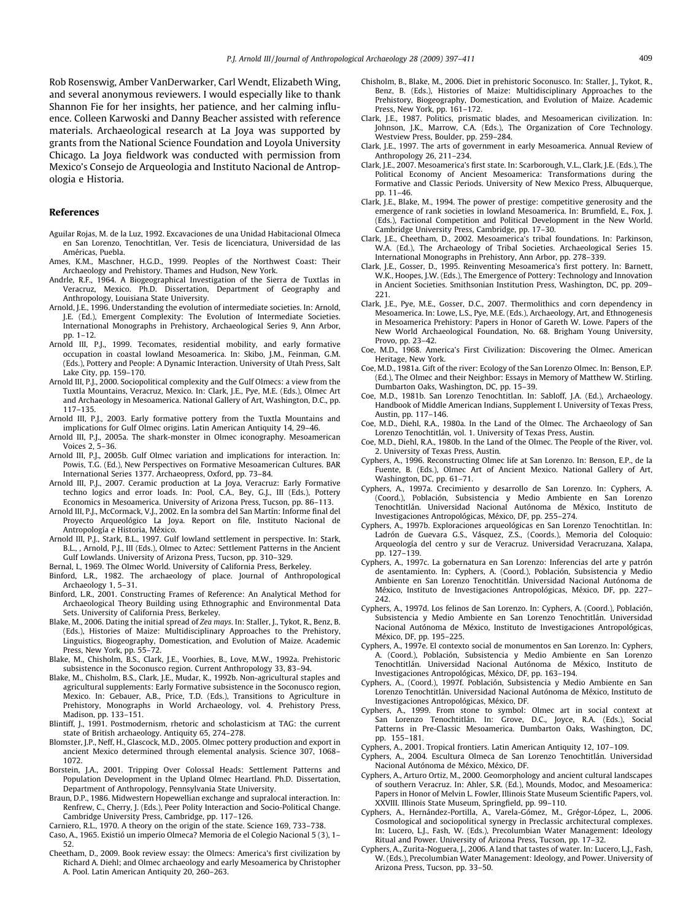<span id="page-12-0"></span>Rob Rosenswig, Amber VanDerwarker, Carl Wendt, Elizabeth Wing, and several anonymous reviewers. I would especially like to thank Shannon Fie for her insights, her patience, and her calming influence. Colleen Karwoski and Danny Beacher assisted with reference materials. Archaeological research at La Joya was supported by grants from the National Science Foundation and Loyola University Chicago. La Joya fieldwork was conducted with permission from Mexico's Consejo de Arqueologia and Instituto Nacional de Antropologia e Historia.

#### References

- Aguilar Rojas, M. de la Luz, 1992. Excavaciones de una Unidad Habitacional Olmeca en San Lorenzo, Tenochtitlan, Ver. Tesis de licenciatura, Universidad de las Américas, Puebla.
- Ames, K.M., Maschner, H.G.D., 1999. Peoples of the Northwest Coast: Their Archaeology and Prehistory. Thames and Hudson, New York.
- Andrle, R.F., 1964. A Biogeographical Investigation of the Sierra de Tuxtlas in Veracruz, Mexico. Ph.D. Dissertation, Department of Geography and Anthropology, Louisiana State University.
- Arnold, J.E., 1996. Understanding the evolution of intermediate societies. In: Arnold, J.E. (Ed.), Emergent Complexity: The Evolution of Intermediate Societies. International Monographs in Prehistory, Archaeological Series 9, Ann Arbor, pp. 1–12.
- Arnold III, P.J., 1999. Tecomates, residential mobility, and early formative occupation in coastal lowland Mesoamerica. In: Skibo, J.M., Feinman, G.M. (Eds.), Pottery and People: A Dynamic Interaction. University of Utah Press, Salt Lake City, pp. 159–170.
- Arnold III, P.J., 2000. Sociopolitical complexity and the Gulf Olmecs: a view from the Tuxtla Mountains, Veracruz, Mexico. In: Clark, J.E., Pye, M.E. (Eds.), Olmec Art and Archaeology in Mesoamerica. National Gallery of Art, Washington, D.C., pp. 117–135.
- Arnold III, P.J., 2003. Early formative pottery from the Tuxtla Mountains and implications for Gulf Olmec origins. Latin American Antiquity 14, 29–46.
- Arnold III, P.J., 2005a. The shark-monster in Olmec iconography. Mesoamerican Voices 2, 5–36.
- Arnold III, P.J., 2005b. Gulf Olmec variation and implications for interaction. In: Powis, T.G. (Ed.), New Perspectives on Formative Mesoamerican Cultures. BAR International Series 1377. Archaeopress, Oxford, pp. 73–84.
- Arnold III, P.J., 2007. Ceramic production at La Joya, Veracruz: Early Formative techno logics and error loads. In: Pool, C.A., Bey, G.J., III (Eds.), Pottery Economics in Mesoamerica. University of Arizona Press, Tucson, pp. 86–113.
- Arnold III, P.J., McCormack, V.J., 2002. En la sombra del San Martín: Informe final del Proyecto Arqueológico La Joya. Report on file, Instituto Nacional de Antropología e Historia, México.
- Arnold III, P.J., Stark, B.L., 1997. Gulf lowland settlement in perspective. In: Stark, B.L., , Arnold, P.J., III (Eds.), Olmec to Aztec: Settlement Patterns in the Ancient Gulf Lowlands. University of Arizona Press, Tucson, pp. 310–329.
- Bernal, I., 1969. The Olmec World. University of California Press, Berkeley.
- Binford, L.R., 1982. The archaeology of place. Journal of Anthropological Archaeology 1, 5–31.
- Binford, L.R., 2001. Constructing Frames of Reference: An Analytical Method for Archaeological Theory Building using Ethnographic and Environmental Data Sets. University of California Press, Berkeley.
- Blake, M., 2006. Dating the initial spread of Zea mays. In: Staller, J., Tykot, R., Benz, B. (Eds.), Histories of Maize: Multidisciplinary Approaches to the Prehistory, Linguistics, Biogeography, Domestication, and Evolution of Maize. Academic Press, New York, pp. 55–72.
- Blake, M., Chisholm, B.S., Clark, J.E., Voorhies, B., Love, M.W., 1992a. Prehistoric subsistence in the Soconusco region. Current Anthropology 33, 83–94.
- Blake, M., Chisholm, B.S., Clark, J.E., Mudar, K., 1992b. Non-agricultural staples and agricultural supplements: Early Formative subsistence in the Soconusco region, Mexico. In: Gebauer, A.B., Price, T.D. (Eds.), Transitions to Agriculture in Prehistory, Monographs in World Archaeology, vol. 4. Prehistory Press, Madison, pp. 133–151.
- Blintiff, J., 1991. Postmodernism, rhetoric and scholasticism at TAG: the current state of British archaeology. Antiquity 65, 274–278.
- Blomster, J.P., Neff, H., Glascock, M.D., 2005. Olmec pottery production and export in ancient Mexico determined through elemental analysis. Science 307, 1068– 1072.
- Borstein, J.A., 2001. Tripping Over Colossal Heads: Settlement Patterns and Population Development in the Upland Olmec Heartland. Ph.D. Dissertation, Department of Anthropology, Pennsylvania State University.
- Braun, D.P., 1986. Midwestern Hopewellian exchange and supralocal interaction. In: Renfrew, C., Cherry, J. (Eds.), Peer Polity Interaction and Socio-Political Change. Cambridge University Press, Cambridge, pp. 117–126.
- Carniero, R.L., 1970. A theory on the origin of the state. Science 169, 733–738.
- Caso, A., 1965. Existió un imperio Olmeca? Memoria de el Colegio Nacional 5 (3), 1– 52.
- Cheetham, D., 2009. Book review essay: the Olmecs: America's first civilization by Richard A. Diehl; and Olmec archaeology and early Mesoamerica by Christopher A. Pool. Latin American Antiquity 20, 260–263.
- Chisholm, B., Blake, M., 2006. Diet in prehistoric Soconusco. In: Staller, J., Tykot, R., Benz, B. (Eds.), Histories of Maize: Multidisciplinary Approaches to the Prehistory, Biogeography, Domestication, and Evolution of Maize. Academic Press, New York, pp. 161–172.
- Clark, J.E., 1987. Politics, prismatic blades, and Mesoamerican civilization. In: Johnson, J.K., Marrow, C.A. (Eds.), The Organization of Core Technology. Westview Press, Boulder, pp. 259–284.
- Clark, J.E., 1997. The arts of government in early Mesoamerica. Annual Review of Anthropology 26, 211–234.
- Clark, J.E., 2007. Mesoamerica's first state. In: Scarborough, V.L., Clark, J.E. (Eds.), The Political Economy of Ancient Mesoamerica: Transformations during the Formative and Classic Periods. University of New Mexico Press, Albuquerque, pp. 11–46.
- Clark, J.E., Blake, M., 1994. The power of prestige: competitive generosity and the emergence of rank societies in lowland Mesoamerica. In: Brumfield, E., Fox, J. (Eds.), Factional Competition and Political Development in the New World. Cambridge University Press, Cambridge, pp. 17–30.
- Clark, J.E., Cheetham, D., 2002. Mesoamerica's tribal foundations. In: Parkinson, W.A. (Ed.), The Archaeology of Tribal Societies. Archaeological Series 15. International Monographs in Prehistory, Ann Arbor, pp. 278–339.
- Clark, J.E., Gosser, D., 1995. Reinventing Mesoamerica's first pottery. In: Barnett, W.K., Hoopes, J.W. (Eds.), The Emergence of Pottery: Technology and Innovation in Ancient Societies. Smithsonian Institution Press, Washington, DC, pp. 209– 221.
- Clark, J.E., Pye, M.E., Gosser, D.C., 2007. Thermolithics and corn dependency in Mesoamerica. In: Lowe, L.S., Pye, M.E. (Eds.), Archaeology, Art, and Ethnogenesis in Mesoamerica Prehistory: Papers in Honor of Gareth W. Lowe. Papers of the New World Archaeological Foundation, No. 68. Brigham Young University, Provo, pp. 23–42.
- Coe, M.D., 1968. America's First Civilization: Discovering the Olmec. American Heritage, New York.
- Coe, M.D., 1981a. Gift of the river: Ecology of the San Lorenzo Olmec. In: Benson, E.P. (Ed.), The Olmec and their Neighbor: Essays in Memory of Matthew W. Stirling. Dumbarton Oaks, Washington, DC, pp. 15–39.
- Coe, M.D., 1981b. San Lorenzo Tenochtitlan. In: Sabloff, J.A. (Ed.), Archaeology. Handbook of Middle American Indians, Supplement I. University of Texas Press, Austin, pp. 117–146.
- Coe, M.D., Diehl, R.A., 1980a. In the Land of the Olmec. The Archaeology of San Lorenzo Tenochtitlán, vol. 1. University of Texas Press, Austin.
- Coe, M.D., Diehl, R.A., 1980b. In the Land of the Olmec. The People of the River, vol. 2. University of Texas Press, Austin.
- Cyphers, A., 1996. Reconstructing Olmec life at San Lorenzo. In: Benson, E.P., de la Fuente, B. (Eds.), Olmec Art of Ancient Mexico. National Gallery of Art, Washington, DC, pp. 61–71.
- Cyphers, A., 1997a. Crecimiento y desarrollo de San Lorenzo. In: Cyphers, A. (Coord.), Población, Subsistencia y Medio Ambiente en San Lorenzo Tenochtitlán. Universidad Nacional Autónoma de México, Instituto de Investigaciones Antropológicas, México, DF, pp. 255–274.
- Cyphers, A., 1997b. Exploraciones arqueológicas en San Lorenzo Tenochtitlan. In: Ladrón de Guevara G.S., Vásquez, Z.S., (Coords.), Memoria del Coloquio: Arqueología del centro y sur de Veracruz. Universidad Veracruzana, Xalapa, pp. 127–139.
- Cyphers, A., 1997c. La gobernatura en San Lorenzo: Inferencias del arte y patrón de asentamiento. In: Cyphers, A. (Coord.), Población, Subsistencia y Medio Ambiente en San Lorenzo Tenochtitlán. Universidad Nacional Autónoma de México, Instituto de Investigaciones Antropológicas, México, DF, pp. 227–  $242.$
- Cyphers, A., 1997d. Los felinos de San Lorenzo. In: Cyphers, A. (Coord.), Población, Subsistencia y Medio Ambiente en San Lorenzo Tenochtitlán. Universidad Nacional Autónoma de México, Instituto de Investigaciones Antropológicas, México, DF, pp. 195–225.
- Cyphers, A., 1997e. El contexto social de monumentos en San Lorenzo. In: Cyphers, A. (Coord.), Población, Subsistencia y Medio Ambiente en San Lorenzo Tenochtitlán. Universidad Nacional Autónoma de México, Instituto de Investigaciones Antropológicas, México, DF, pp. 163–194.
- Cyphers, A., (Coord.), 1997f. Población, Subsistencia y Medio Ambiente en San Lorenzo Tenochtitlán. Universidad Nacional Autónoma de México, Instituto de Investigaciones Antropológicas, México, DF.
- Cyphers, A., 1999. From stone to symbol: Olmec art in social context at San Lorenzo Tenochtitlán. In: Grove, D.C., Joyce, R.A. (Eds.), Social Patterns in Pre-Classic Mesoamerica. Dumbarton Oaks, Washington, DC, pp. 155–181.
- Cyphers, A., 2001. Tropical frontiers. Latin American Antiquity 12, 107–109.
- Cyphers, A., 2004. Escultura Olmeca de San Lorenzo Tenochtitlán. Universidad Nacional Autónoma de México, México, DF.
- Cyphers, A., Arturo Ortiz, M., 2000. Geomorphology and ancient cultural landscapes of southern Veracruz. In: Ahler, S.R. (Ed.), Mounds, Modoc, and Mesoamerica: Papers in Honor of Melvin L. Fowler, Illinois State Museum Scientific Papers, vol. XXVIII. Illinois State Museum, Springfield, pp. 99–110.
- Cyphers, A., Hernández-Portilla, A., Varela-Gómez, M., Grégor-López, L., 2006. Cosmological and sociopolitical synergy in Preclassic architectural complexes. In: Lucero, L.J., Fash, W. (Eds.), Precolumbian Water Management: Ideology Ritual and Power. University of Arizona Press, Tucson, pp. 17–32.
- Cyphers, A., Zurita-Noguera, J., 2006. A land that tastes of water. In: Lucero, L.J., Fash, W. (Eds.), Precolumbian Water Management: Ideology, and Power. University of Arizona Press, Tucson, pp. 33–50.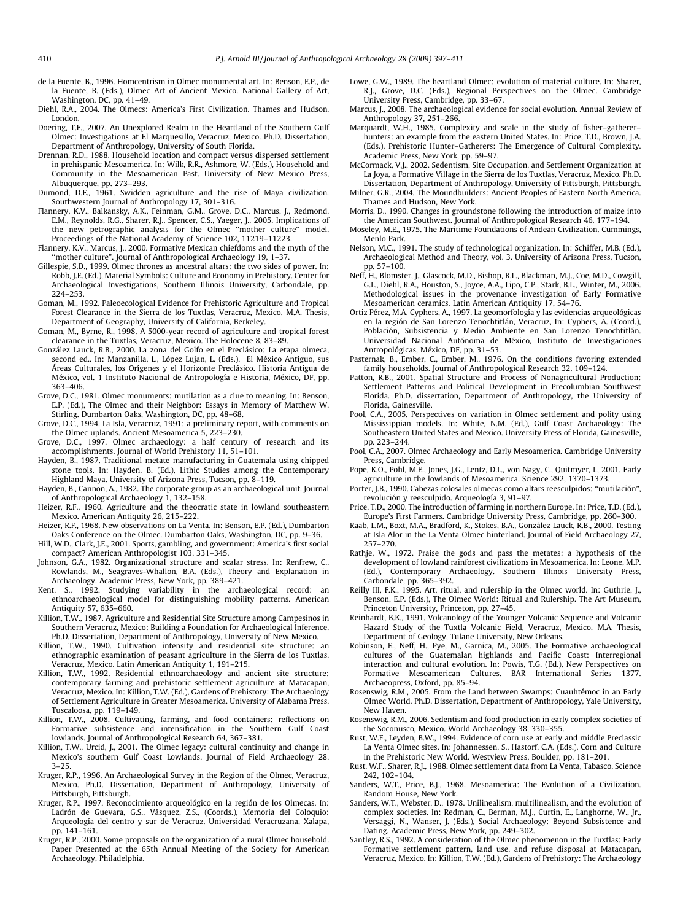- <span id="page-13-0"></span>de la Fuente, B., 1996. Homcentrism in Olmec monumental art. In: Benson, E.P., de la Fuente, B. (Eds.), Olmec Art of Ancient Mexico. National Gallery of Art, Washington, DC, pp. 41–49.
- Diehl, R.A., 2004. The Olmecs: America's First Civilization. Thames and Hudson, London.
- Doering, T.F., 2007. An Unexplored Realm in the Heartland of the Southern Gulf Olmec: Investigations at El Marquesillo, Veracruz, Mexico. Ph.D. Dissertation, Department of Anthropology, University of South Florida.
- Drennan, R.D., 1988. Household location and compact versus dispersed settlement in prehispanic Mesoamerica. In: Wilk, R.R., Ashmore, W. (Eds.), Household and Community in the Mesoamerican Past. University of New Mexico Press, Albuquerque, pp. 273–293.
- Dumond, D.E., 1961. Swidden agriculture and the rise of Maya civilization. Southwestern Journal of Anthropology 17, 301–316.
- Flannery, K.V., Balkansky, A.K., Feinman, G.M., Grove, D.C., Marcus, J., Redmond, E.M., Reynolds, R.G., Sharer, R.J., Spencer, C.S., Yaeger, J., 2005. Implications of the new petrographic analysis for the Olmec ''mother culture" model. Proceedings of the National Academy of Science 102, 11219–11223.
- Flannery, K.V., Marcus, J., 2000. Formative Mexican chiefdoms and the myth of the ''mother culture". Journal of Anthropological Archaeology 19, 1–37.
- Gillespie, S.D., 1999. Olmec thrones as ancestral altars: the two sides of power. In: Robb, J.E. (Ed.), Material Symbols: Culture and Economy in Prehistory. Center for Archaeological Investigations, Southern Illinois University, Carbondale, pp. 224–253.
- Goman, M., 1992. Paleoecological Evidence for Prehistoric Agriculture and Tropical Forest Clearance in the Sierra de los Tuxtlas, Veracruz, Mexico. M.A. Thesis, Department of Geography, University of California, Berkeley.
- Goman, M., Byrne, R., 1998. A 5000-year record of agriculture and tropical forest clearance in the Tuxtlas, Veracruz, Mexico. The Holocene 8, 83–89.
- González Lauck, R.B., 2000. La zona del Golfo en el Preclásico: La etapa olmeca, second ed.. In: Manzanilla, L., López Lujan, L. (Eds.), El México Antiguo, sus Áreas Culturales, los Orígenes y el Horizonte Preclásico. Historia Antigua de México, vol. 1 Instituto Nacional de Antropología e Historia, México, DF, pp. 363–406.
- Grove, D.C., 1981. Olmec monuments: mutilation as a clue to meaning. In: Benson, E.P. (Ed.), The Olmec and their Neighbor: Essays in Memory of Matthew W. Stirling. Dumbarton Oaks, Washington, DC, pp. 48–68.
- Grove, D.C., 1994. La Isla, Veracruz, 1991: a preliminary report, with comments on the Olmec uplands. Ancient Mesoamerica 5, 223–230.
- Grove, D.C., 1997. Olmec archaeology: a half century of research and its accomplishments. Journal of World Prehistory 11, 51–101.
- Hayden, B., 1987. Traditional metate manufacturing in Guatemala using chipped stone tools. In: Hayden, B. (Ed.), Lithic Studies among the Contemporary Highland Maya. University of Arizona Press, Tucson, pp. 8–119.
- Hayden, B., Cannon, A., 1982. The corporate group as an archaeological unit. Journal of Anthropological Archaeology 1, 132–158.
- Heizer, R.F., 1960. Agriculture and the theocratic state in lowland southeastern Mexico. American Antiquity 26, 215–222.
- Heizer, R.F., 1968. New observations on La Venta. In: Benson, E.P. (Ed.), Dumbarton Oaks Conference on the Olmec. Dumbarton Oaks, Washington, DC, pp. 9–36.
- Hill, W.D., Clark, J.E., 2001. Sports, gambling, and government: America's first social compact? American Anthropologist 103, 331–345.
- Johnson, G.A., 1982. Organizational structure and scalar stress. In: Renfrew, C., Rowlands, M., Seagraves-Whallon, B.A. (Eds.), Theory and Explanation in Archaeology. Academic Press, New York, pp. 389–421.
- Kent, S., 1992. Studying variability in the archaeological record: an ethnoarchaeological model for distinguishing mobility patterns. American Antiquity 57, 635–660.
- Killion, T.W., 1987. Agriculture and Residential Site Structure among Campesinos in Southern Veracruz, Mexico: Building a Foundation for Archaeological Inference. Ph.D. Dissertation, Department of Anthropology, University of New Mexico.
- Killion, T.W., 1990. Cultivation intensity and residential site structure: an ethnographic examination of peasant agriculture in the Sierra de los Tuxtlas, Veracruz, Mexico. Latin American Antiquity 1, 191–215.
- Killion, T.W., 1992. Residential ethnoarchaeology and ancient site structure: contemporary farming and prehistoric settlement agriculture at Matacapan, Veracruz, Mexico. In: Killion, T.W. (Ed.), Gardens of Prehistory: The Archaeology of Settlement Agriculture in Greater Mesoamerica. University of Alabama Press, Tuscaloosa, pp. 119–149.
- Killion, T.W., 2008. Cultivating, farming, and food containers: reflections on Formative subsistence and intensification in the Southern Gulf Coast lowlands. Journal of Anthropological Research 64, 367–381.
- Killion, T.W., Urcid, J., 2001. The Olmec legacy: cultural continuity and change in Mexico's southern Gulf Coast Lowlands. Journal of Field Archaeology 28, 3–25.
- Kruger, R.P., 1996. An Archaeological Survey in the Region of the Olmec, Veracruz, Mexico. Ph.D. Dissertation, Department of Anthropology, University of Pittsburgh, Pittsburgh.
- Kruger, R.P., 1997. Reconocimiento arqueológico en la región de los Olmecas. In: Ladrón de Guevara, G.S., Vásquez, Z.S., (Coords.), Memoria del Coloquio: Arqueología del centro y sur de Veracruz. Universidad Veracruzana, Xalapa, pp. 141–161.
- Kruger, R.P., 2000. Some proposals on the organization of a rural Olmec household. Paper Presented at the 65th Annual Meeting of the Society for American Archaeology, Philadelphia.
- Lowe, G.W., 1989. The heartland Olmec: evolution of material culture. In: Sharer, R.J., Grove, D.C. (Eds.), Regional Perspectives on the Olmec. Cambridge University Press, Cambridge, pp. 33–67.
- Marcus, J., 2008. The archaeological evidence for social evolution. Annual Review of Anthropology 37, 251–266.
- Marquardt, W.H., 1985. Complexity and scale in the study of fisher–gatherer– hunters: an example from the eastern United States. In: Price, T.D., Brown, J.A. (Eds.), Prehistoric Hunter–Gatherers: The Emergence of Cultural Complexity. Academic Press, New York, pp. 59–97.
- McCormack, V.J., 2002. Sedentism, Site Occupation, and Settlement Organization at La Joya, a Formative Village in the Sierra de los Tuxtlas, Veracruz, Mexico. Ph.D. Dissertation, Department of Anthropology, University of Pittsburgh, Pittsburgh.
- Milner, G.R., 2004. The Moundbuilders: Ancient Peoples of Eastern North America. Thames and Hudson, New York.
- Morris, D., 1990. Changes in groundstone following the introduction of maize into the American Southwest. Journal of Anthropological Research 46, 177–194.
- Moseley, M.E., 1975. The Maritime Foundations of Andean Civilization. Cummings, Menlo Park.
- Nelson, M.C., 1991. The study of technological organization. In: Schiffer, M.B. (Ed.), Archaeological Method and Theory, vol. 3. University of Arizona Press, Tucson, pp. 57–100.
- Neff, H., Blomster, J., Glascock, M.D., Bishop, R.L., Blackman, M.J., Coe, M.D., Cowgill, G.L., Diehl, R.A., Houston, S., Joyce, A.A., Lipo, C.P., Stark, B.L., Winter, M., 2006. Methodological issues in the provenance investigation of Early Formative Mesoamerican ceramics. Latin American Antiquity 17, 54–76.
- Ortiz Pérez, M.A. Cyphers, A., 1997. La geomorfología y las evidencias arqueológicas en la región de San Lorenzo Tenochtitlán, Veracruz, In: Cyphers, A. (Coord.), Población, Subsistencia y Medio Ambiente en San Lorenzo Tenochtitlán. Universidad Nacional Autónoma de México, Instituto de Investigaciones Antropológicas, México, DF, pp. 31–53.
- Pasternak, B., Ember, C., Ember, M., 1976. On the conditions favoring extended family households. Journal of Anthropological Research 32, 109–124.
- Patton, R.B., 2001. Spatial Structure and Process of Nonagricultural Production: Settlement Patterns and Political Development in Precolumbian Southwest Florida. Ph.D. dissertation, Department of Anthropology, the University of Florida, Gainesville.
- Pool, C.A., 2005. Perspectives on variation in Olmec settlement and polity using Mississippian models. In: White, N.M. (Ed.), Gulf Coast Archaeology: The Southeastern United States and Mexico. University Press of Florida, Gainesville, pp. 223–244.
- Pool, C.A., 2007. Olmec Archaeology and Early Mesoamerica. Cambridge University Press, Cambridge.
- Pope, K.O., Pohl, M.E., Jones, J.G., Lentz, D.L., von Nagy, C., Quitmyer, I., 2001. Early agriculture in the lowlands of Mesoamerica. Science 292, 1370–1373.
- Porter, J.B., 1990. Cabezas colosales olmecas como altars reesculpidos: ''mutilación", revolución y reesculpido. Arqueología 3, 91–97.
- Price, T.D., 2000. The introduction of farming in northern Europe. In: Price, T.D. (Ed.), Europe's First Farmers. Cambridge University Press, Cambridge, pp. 260–300.
- Raab, L.M., Boxt, M.A., Bradford, K., Stokes, B.A., González Lauck, R.B., 2000. Testing at Isla Alor in the La Venta Olmec hinterland. Journal of Field Archaeology 27, 257–270.
- Rathje, W., 1972. Praise the gods and pass the metates: a hypothesis of the development of lowland rainforest civilizations in Mesoamerica. In: Leone, M.P. (Ed.), Contemporary Archaeology. Southern Illinois University Press, Carbondale, pp. 365–392.
- Reilly III, F.K., 1995. Art, ritual, and rulership in the Olmec world. In: Guthrie, J., Benson, E.P. (Eds.), The Olmec World: Ritual and Rulership. The Art Museum, Princeton University, Princeton, pp. 27–45.
- Reinhardt, B.K., 1991. Volcanology of the Younger Volcanic Sequence and Volcanic Hazard Study of the Tuxtla Volcanic Field, Veracruz, Mexico. M.A. Thesis, Department of Geology, Tulane University, New Orleans.
- Robinson, E., Neff, H., Pye, M., Garnica, M., 2005. The Formative archaeological cultures of the Guatemalan highlands and Pacific Coast: Interregional interaction and cultural evolution. In: Powis, T.G. (Ed.), New Perspectives on Formative Mesoamerican Cultures. BAR International Series 1377. Archaeopress, Oxford, pp. 85–94.
- Rosenswig, R.M., 2005. From the Land between Swamps: Cuauhtémoc in an Early Olmec World. Ph.D. Dissertation, Department of Anthropology, Yale University, New Haven.
- Rosenswig, R.M., 2006. Sedentism and food production in early complex societies of the Soconusco, Mexico. World Archaeology 38, 330–355.
- Rust, W.F., Leyden, B.W., 1994. Evidence of corn use at early and middle Preclassic La Venta Olmec sites. In: Johannessen, S., Hastorf, C.A. (Eds.), Corn and Culture in the Prehistoric New World. Westview Press, Boulder, pp. 181–201.
- Rust, W.F., Sharer, R.J., 1988. Olmec settlement data from La Venta, Tabasco. Science 242, 102–104.
- Sanders, W.T., Price, B.J., 1968. Mesoamerica: The Evolution of a Civilization. Random House, New York.
- Sanders, W.T., Webster, D., 1978. Unilinealism, multilinealism, and the evolution of complex societies. In: Redman, C., Berman, M.J., Curtin, E., Langhorne, W., Jr., Versaggi, N., Wanser, J. (Eds.), Social Archaeology: Beyond Subsistence and Dating. Academic Press, New York, pp. 249–302.
- Santley, R.S., 1992. A consideration of the Olmec phenomenon in the Tuxtlas: Early Formative settlement pattern, land use, and refuse disposal at Matacapan, Veracruz, Mexico. In: Killion, T.W. (Ed.), Gardens of Prehistory: The Archaeology